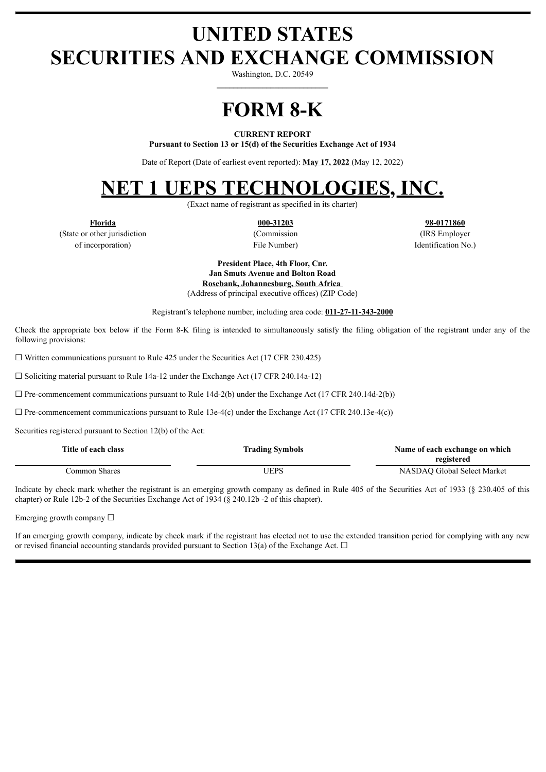# **UNITED STATES SECURITIES AND EXCHANGE COMMISSION**

Washington, D.C. 20549 **\_\_\_\_\_\_\_\_\_\_\_\_\_\_\_\_\_\_\_\_\_\_\_\_\_\_\_**

**FORM 8-K**

#### **CURRENT REPORT**

**Pursuant to Section 13 or 15(d) of the Securities Exchange Act of 1934**

Date of Report (Date of earliest event reported): **May 17, 2022** (May 12, 2022)

# **NET 1 UEPS TECHNOLOGIES, INC.**

(Exact name of registrant as specified in its charter)

(State or other jurisdiction (Commission (IRS Employer of incorporation) File Number) File Number and The Identification No.)

**Florida 000-31203 98-0171860**

**President Place, 4th Floor, Cnr. Jan Smuts Avenue and Bolton Road Rosebank, Johannesburg, South Africa** (Address of principal executive offices) (ZIP Code)

Registrant's telephone number, including area code: **011-27-11-343-2000**

Check the appropriate box below if the Form 8-K filing is intended to simultaneously satisfy the filing obligation of the registrant under any of the following provisions:

 $\Box$  Written communications pursuant to Rule 425 under the Securities Act (17 CFR 230.425)

 $\Box$  Soliciting material pursuant to Rule 14a-12 under the Exchange Act (17 CFR 240.14a-12)

 $\Box$  Pre-commencement communications pursuant to Rule 14d-2(b) under the Exchange Act (17 CFR 240.14d-2(b))

 $\Box$  Pre-commencement communications pursuant to Rule 13e-4(c) under the Exchange Act (17 CFR 240.13e-4(c))

Securities registered pursuant to Section 12(b) of the Act:

| Title of each class | <b>Trading Symbols</b> | Name of each exchange on which |  |
|---------------------|------------------------|--------------------------------|--|
|                     |                        | registered                     |  |
| Common Shares       | UEPS                   | NASDAO Global Select Market    |  |

Indicate by check mark whether the registrant is an emerging growth company as defined in Rule 405 of the Securities Act of 1933 (§ 230.405 of this chapter) or Rule 12b-2 of the Securities Exchange Act of 1934 (§ 240.12b -2 of this chapter).

Emerging growth company  $\Box$ 

If an emerging growth company, indicate by check mark if the registrant has elected not to use the extended transition period for complying with any new or revised financial accounting standards provided pursuant to Section 13(a) of the Exchange Act.  $\Box$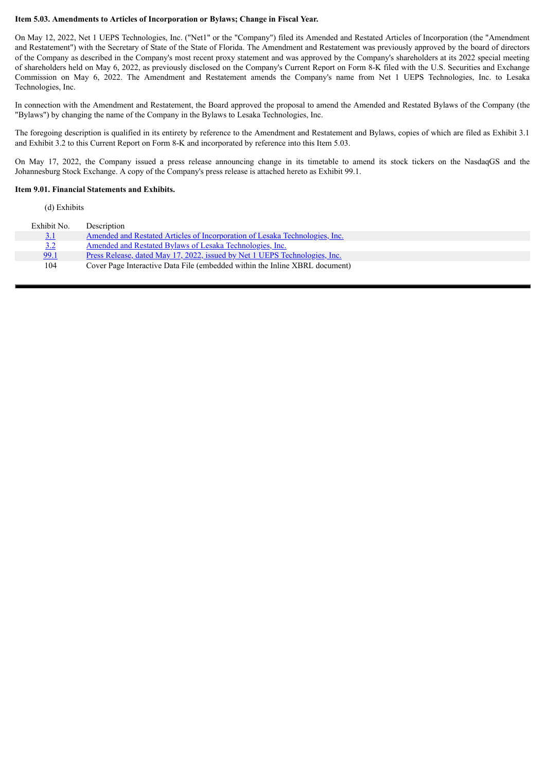#### **Item 5.03. Amendments to Articles of Incorporation or Bylaws; Change in Fiscal Year.**

On May 12, 2022, Net 1 UEPS Technologies, Inc. ("Net1" or the "Company") filed its Amended and Restated Articles of Incorporation (the "Amendment and Restatement") with the Secretary of State of the State of Florida. The Amendment and Restatement was previously approved by the board of directors of the Company as described in the Company's most recent proxy statement and was approved by the Company's shareholders at its 2022 special meeting of shareholders held on May 6, 2022, as previously disclosed on the Company's Current Report on Form 8-K filed with the U.S. Securities and Exchange Commission on May 6, 2022. The Amendment and Restatement amends the Company's name from Net 1 UEPS Technologies, Inc. to Lesaka Technologies, Inc.

In connection with the Amendment and Restatement, the Board approved the proposal to amend the Amended and Restated Bylaws of the Company (the "Bylaws") by changing the name of the Company in the Bylaws to Lesaka Technologies, Inc.

The foregoing description is qualified in its entirety by reference to the Amendment and Restatement and Bylaws, copies of which are filed as Exhibit 3.1 and Exhibit 3.2 to this Current Report on Form 8-K and incorporated by reference into this Item 5.03.

On May 17, 2022, the Company issued a press release announcing change in its timetable to amend its stock tickers on the NasdaqGS and the Johannesburg Stock Exchange. A copy of the Company's press release is attached hereto as Exhibit 99.1.

#### **Item 9.01. Financial Statements and Exhibits.**

(d) Exhibits

| Exhibit No. | Description                                                                 |
|-------------|-----------------------------------------------------------------------------|
| <u>3.1</u>  | Amended and Restated Articles of Incorporation of Lesaka Technologies, Inc. |
| 3.2         | Amended and Restated Bylaws of Lesaka Technologies, Inc.                    |
| 99.1        | Press Release, dated May 17, 2022, issued by Net 1 UEPS Technologies, Inc.  |
| 104         | Cover Page Interactive Data File (embedded within the Inline XBRL document) |
|             |                                                                             |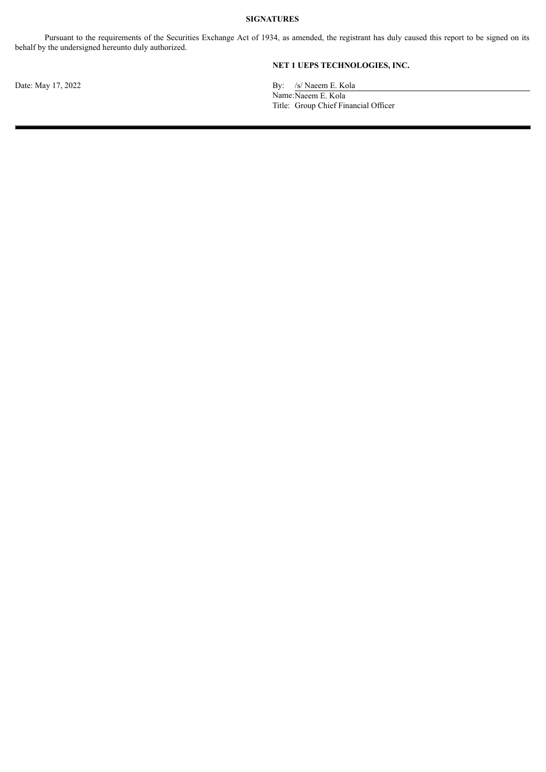**SIGNATURES**

Pursuant to the requirements of the Securities Exchange Act of 1934, as amended, the registrant has duly caused this report to be signed on its behalf by the undersigned hereunto duly authorized.

#### **NET 1 UEPS TECHNOLOGIES, INC.**

Date: May 17, 2022 By: /s/ Naeem E. Kola

Name: Naeem E. Kola Title: Group Chief Financial Officer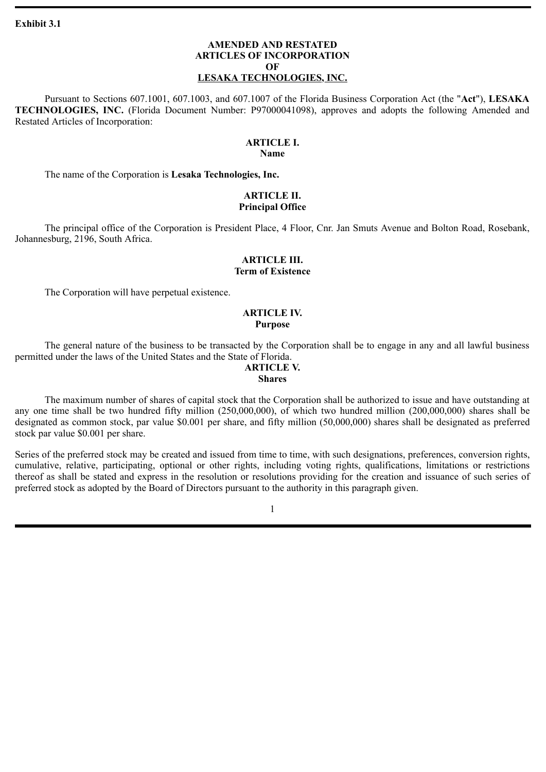#### <span id="page-3-0"></span>**Exhibit 3.1**

#### **AMENDED AND RESTATED ARTICLES OF INCORPORATION OF LESAKA TECHNOLOGIES, INC.**

Pursuant to Sections 607.1001, 607.1003, and 607.1007 of the Florida Business Corporation Act (the "**Act**"), **LESAKA TECHNOLOGIES, INC.** (Florida Document Number: P97000041098), approves and adopts the following Amended and Restated Articles of Incorporation:

#### **ARTICLE I. Name**

The name of the Corporation is **Lesaka Technologies, Inc.**

#### **ARTICLE II. Principal Office**

The principal office of the Corporation is President Place, 4 Floor, Cnr. Jan Smuts Avenue and Bolton Road, Rosebank, Johannesburg, 2196, South Africa.

#### **ARTICLE III. Term of Existence**

The Corporation will have perpetual existence.

#### **ARTICLE IV. Purpose**

The general nature of the business to be transacted by the Corporation shall be to engage in any and all lawful business permitted under the laws of the United States and the State of Florida.

#### **ARTICLE V. Shares**

The maximum number of shares of capital stock that the Corporation shall be authorized to issue and have outstanding at any one time shall be two hundred fifty million (250,000,000), of which two hundred million (200,000,000) shares shall be designated as common stock, par value \$0.001 per share, and fifty million (50,000,000) shares shall be designated as preferred stock par value \$0.001 per share.

Series of the preferred stock may be created and issued from time to time, with such designations, preferences, conversion rights, cumulative, relative, participating, optional or other rights, including voting rights, qualifications, limitations or restrictions thereof as shall be stated and express in the resolution or resolutions providing for the creation and issuance of such series of preferred stock as adopted by the Board of Directors pursuant to the authority in this paragraph given.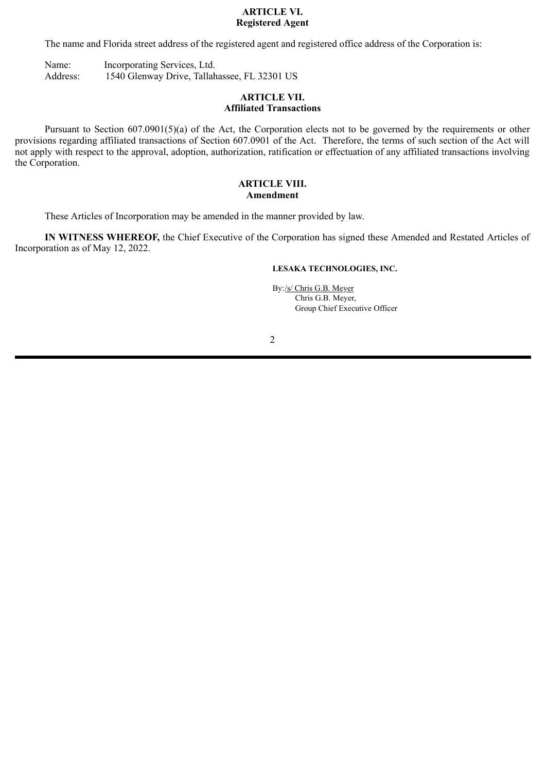#### **ARTICLE VI. Registered Agent**

The name and Florida street address of the registered agent and registered office address of the Corporation is:

Name: Incorporating Services, Ltd.<br>Address: 1540 Glenway Drive. Tallah 1540 Glenway Drive, Tallahassee, FL 32301 US

#### **ARTICLE VII. Affiliated Transactions**

Pursuant to Section 607.0901(5)(a) of the Act, the Corporation elects not to be governed by the requirements or other provisions regarding affiliated transactions of Section 607.0901 of the Act. Therefore, the terms of such section of the Act will not apply with respect to the approval, adoption, authorization, ratification or effectuation of any affiliated transactions involving the Corporation.

#### **ARTICLE VIII. Amendment**

These Articles of Incorporation may be amended in the manner provided by law.

**IN WITNESS WHEREOF,** the Chief Executive of the Corporation has signed these Amended and Restated Articles of Incorporation as of May 12, 2022.

#### **LESAKA TECHNOLOGIES, INC.**

By:/s/ Chris G.B. Meyer Chris G.B. Meyer, Group Chief Executive Officer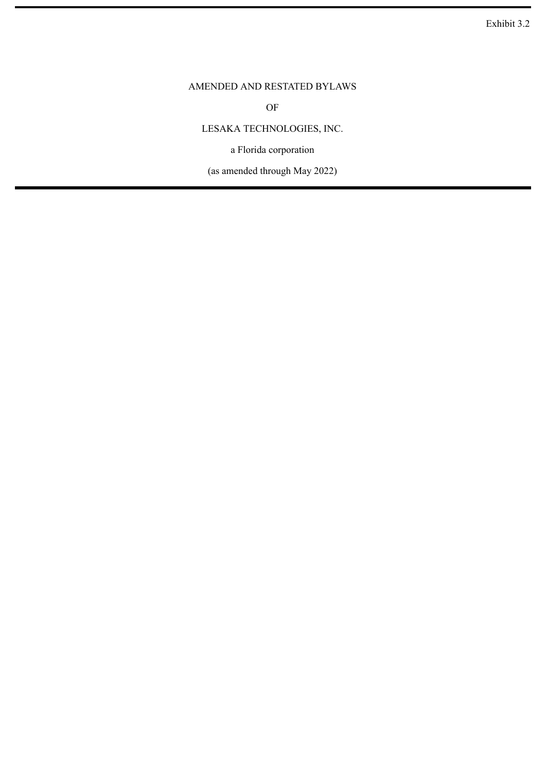### <span id="page-5-0"></span>AMENDED AND RESTATED BYLAWS

OF

LESAKA TECHNOLOGIES, INC.

a Florida corporation

(as amended through May 2022)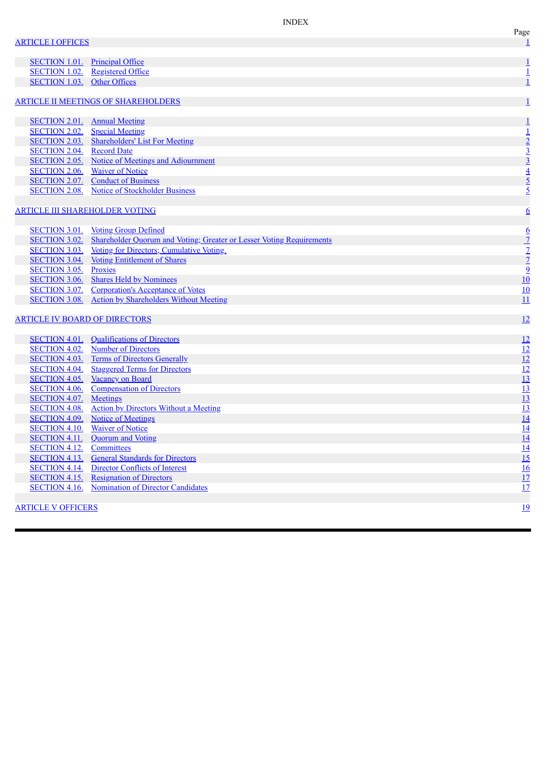#### [ARTICLE](#page-8-0) I OFFICES **[1](#page-8-0)999**

| <b>SECTION 1.01.</b> Principal Office |                                                         |  |
|---------------------------------------|---------------------------------------------------------|--|
|                                       | <b>SECTION 1.02.</b> Registered Office                  |  |
| SECTION 1.03. Other Offices           |                                                         |  |
|                                       |                                                         |  |
|                                       | <b>ARTICLE II MEETINGS OF SHAREHOLDERS</b>              |  |
|                                       |                                                         |  |
| <b>SECTION 2.01.</b> Annual Meeting   |                                                         |  |
| <b>SECTION 2.02.</b> Special Meeting  |                                                         |  |
|                                       | <b>SECTION 2.03.</b> Shareholders' List For Meeting     |  |
| <b>SECTION 2.04.</b> Record Date      |                                                         |  |
|                                       | <b>SECTION 2.05.</b> Notice of Meetings and Adjournment |  |
|                                       | <b>SECTION 2.06.</b> Waiver of Notice                   |  |
|                                       | <b>SECTION 2.07.</b> Conduct of Business                |  |

|                              | SECTION 2.07. Conduct of Business                                                         |                 |
|------------------------------|-------------------------------------------------------------------------------------------|-----------------|
|                              | <b>SECTION 2.08.</b> Notice of Stockholder Business                                       |                 |
|                              |                                                                                           |                 |
|                              | <b>ARTICLE III SHAREHOLDER VOTING</b>                                                     | 6               |
|                              |                                                                                           |                 |
| <b>SECTION 3.01.</b>         | <b>Voting Group Defined</b>                                                               |                 |
|                              | <b>SECTION 3.02.</b> Shareholder Quorum and Voting; Greater or Lesser Voting Requirements |                 |
|                              | <b>SECTION 3.03.</b> Voting for Directors; Cumulative Voting.                             |                 |
|                              | <b>SECTION 3.04.</b> Voting Entitlement of Shares                                         |                 |
| <b>SECTION 3.05. Proxies</b> |                                                                                           |                 |
|                              | <b>SECTION 3.06.</b> Shares Held by Nominees                                              | <u>10</u>       |
|                              | <b>SECTION 3.07.</b> Corporation's Acceptance of Votes                                    | <u>10</u>       |
|                              | <b>SECTION 3.08.</b> Action by Shareholders Without Meeting                               | $\overline{11}$ |
|                              |                                                                                           |                 |

# **ARTICLE IV BOARD OF [DIRECTORS](#page-19-0)** [12](#page-19-0)

|                               | <b>SECTION 4.01.</b> Qualifications of Directors           | 12                                 |
|-------------------------------|------------------------------------------------------------|------------------------------------|
|                               | <b>SECTION 4.02.</b> Number of Directors                   |                                    |
|                               | <b>SECTION 4.03.</b> Terms of Directors Generally          |                                    |
|                               | <b>SECTION 4.04.</b> Staggered Terms for Directors         |                                    |
|                               | <b>SECTION 4.05.</b> Vacancy on Board                      | $\frac{12}{12}$ $\frac{12}{13}$    |
|                               | <b>SECTION 4.06.</b> Compensation of Directors             |                                    |
| <b>SECTION 4.07. Meetings</b> |                                                            | $\frac{13}{13}$                    |
|                               | <b>SECTION 4.08.</b> Action by Directors Without a Meeting | $\frac{13}{14}$                    |
|                               | <b>SECTION 4.09.</b> Notice of Meetings                    |                                    |
|                               | <b>SECTION 4.10.</b> Waiver of Notice                      | $\frac{14}{14}$                    |
|                               | <b>SECTION 4.11.</b> Quorum and Voting                     |                                    |
| <b>SECTION 4.12.</b>          | Committees                                                 |                                    |
|                               | <b>SECTION 4.13.</b> General Standards for Directors       |                                    |
|                               | <b>SECTION 4.14.</b> Director Conflicts of Interest        |                                    |
|                               | <b>SECTION 4.15.</b> Resignation of Directors              | $\frac{14}{15}$<br>$\frac{16}{17}$ |
| <b>SECTION 4.16.</b>          | <b>Nomination of Director Candidates</b>                   |                                    |
|                               |                                                            |                                    |
| <b>ARTICLE V OFFICERS</b>     |                                                            | <u>19</u>                          |
|                               |                                                            |                                    |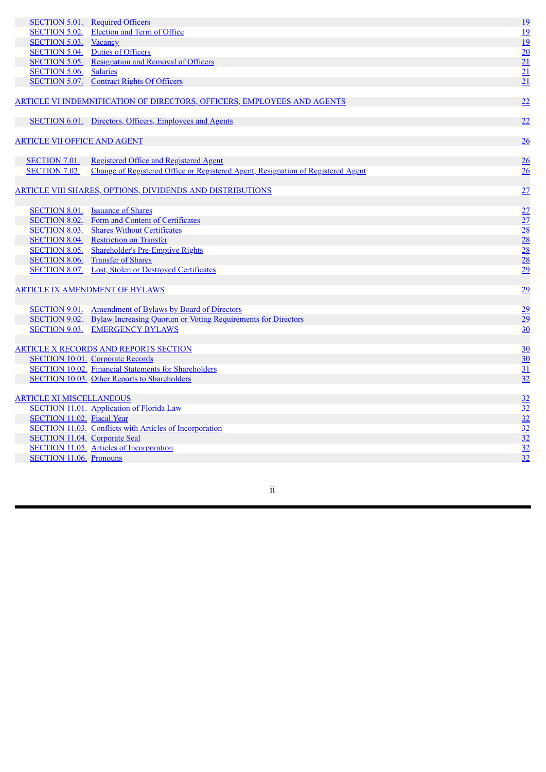|                                      | <b>SECTION 5.01.</b> Required Officers                                            | <u>19</u>                                                       |
|--------------------------------------|-----------------------------------------------------------------------------------|-----------------------------------------------------------------|
|                                      | SECTION 5.02. Election and Term of Office                                         |                                                                 |
| <b>SECTION 5.03. Vacancy</b>         |                                                                                   | $\frac{19}{20}$<br>$\frac{20}{21}$                              |
|                                      | <b>SECTION 5.04.</b> Duties of Officers                                           |                                                                 |
|                                      | <b>SECTION 5.05.</b> Resignation and Removal of Officers                          |                                                                 |
| <b>SECTION 5.06.</b> Salaries        |                                                                                   |                                                                 |
|                                      | <b>SECTION 5.07.</b> Contract Rights Of Officers                                  | 21                                                              |
|                                      | ARTICLE VI INDEMNIFICATION OF DIRECTORS, OFFICERS, EMPLOYEES AND AGENTS           | 22                                                              |
|                                      | SECTION 6.01. Directors, Officers, Employees and Agents                           | 22                                                              |
| <b>ARTICLE VII OFFICE AND AGENT</b>  |                                                                                   | 26                                                              |
|                                      |                                                                                   |                                                                 |
| <b>SECTION 7.01.</b>                 | <b>Registered Office and Registered Agent</b>                                     | 26                                                              |
| <b>SECTION 7.02.</b>                 | Change of Registered Office or Registered Agent, Resignation of Registered Agent  | 26                                                              |
|                                      | <b>ARTICLE VIII SHARES, OPTIONS, DIVIDENDS AND DISTRIBUTIONS</b>                  | 27                                                              |
|                                      | <b>SECTION 8.01.</b> Issuance of Shares                                           |                                                                 |
|                                      | SECTION 8.02. Form and Content of Certificates                                    | $\frac{27}{27} \frac{28}{28} \frac{28}{28} \frac{28}{29}$       |
|                                      | <b>SECTION 8.03.</b> Shares Without Certificates                                  |                                                                 |
|                                      | <b>SECTION 8.04.</b> Restriction on Transfer                                      |                                                                 |
|                                      | SECTION 8.05. Shareholder's Pre-Emptive Rights                                    |                                                                 |
|                                      | SECTION 8.06. Transfer of Shares                                                  |                                                                 |
|                                      | SECTION 8.07. Lost, Stolen or Destroyed Certificates                              |                                                                 |
|                                      | <b>ARTICLE IX AMENDMENT OF BYLAWS</b>                                             | 29                                                              |
|                                      |                                                                                   |                                                                 |
|                                      | <b>SECTION 9.01.</b> Amendment of Bylaws by Board of Directors                    | $\frac{29}{29}$                                                 |
|                                      | <b>SECTION 9.02.</b> Bylaw Increasing Quorum or Voting Requirements for Directors |                                                                 |
|                                      | <b>SECTION 9.03. EMERGENCY BYLAWS</b>                                             | $\overline{30}$                                                 |
|                                      | <b>ARTICLE X RECORDS AND REPORTS SECTION</b>                                      |                                                                 |
|                                      | <b>SECTION 10.01. Corporate Records</b>                                           |                                                                 |
|                                      | <b>SECTION 10.02. Financial Statements for Shareholders</b>                       |                                                                 |
|                                      | <b>SECTION 10.03.</b> Other Reports to Shareholders                               | $\frac{30}{30}$<br>$\frac{31}{32}$                              |
| <b>ARTICLE XI MISCELLANEOUS</b>      |                                                                                   |                                                                 |
|                                      | <b>SECTION 11.01.</b> Application of Florida Law                                  | $\frac{32}{32}$ $\frac{32}{32}$ $\frac{32}{32}$ $\frac{32}{32}$ |
| <b>SECTION 11.02.</b> Fiscal Year    |                                                                                   |                                                                 |
|                                      | SECTION 11.03. Conflicts with Articles of Incorporation                           |                                                                 |
| <b>SECTION 11.04. Corporate Seal</b> |                                                                                   |                                                                 |
|                                      | <b>SECTION 11.05.</b> Articles of Incorporation                                   |                                                                 |
| <b>SECTION 11.06. Pronouns</b>       |                                                                                   |                                                                 |
|                                      |                                                                                   |                                                                 |

# ii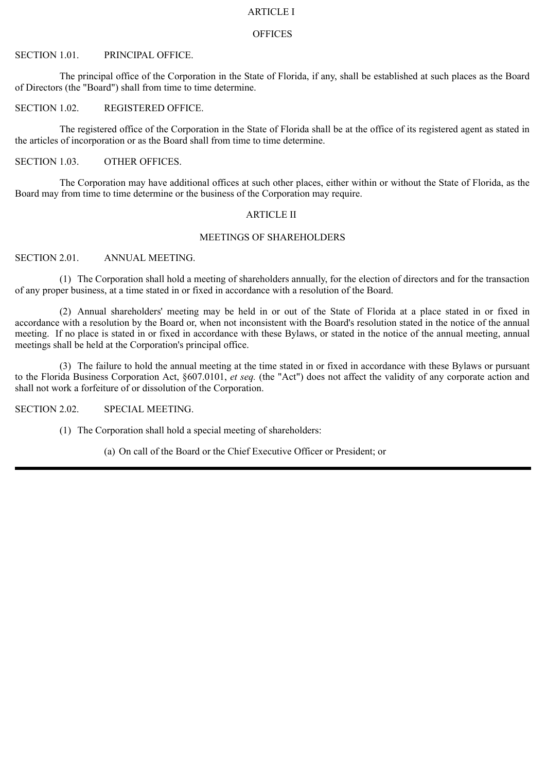#### ARTICLE I

#### **OFFICES**

#### <span id="page-8-0"></span>SECTION 1.01. PRINCIPAL OFFICE.

The principal office of the Corporation in the State of Florida, if any, shall be established at such places as the Board of Directors (the "Board") shall from time to time determine.

SECTION 1.02 REGISTERED OFFICE

The registered office of the Corporation in the State of Florida shall be at the office of its registered agent as stated in the articles of incorporation or as the Board shall from time to time determine.

#### SECTION 1.03. OTHER OFFICES.

The Corporation may have additional offices at such other places, either within or without the State of Florida, as the Board may from time to time determine or the business of the Corporation may require.

#### ARTICLE II

#### MEETINGS OF SHAREHOLDERS

SECTION 2.01 ANNUAL MEETING.

(1) The Corporation shall hold a meeting of shareholders annually, for the election of directors and for the transaction of any proper business, at a time stated in or fixed in accordance with a resolution of the Board.

(2) Annual shareholders' meeting may be held in or out of the State of Florida at a place stated in or fixed in accordance with a resolution by the Board or, when not inconsistent with the Board's resolution stated in the notice of the annual meeting. If no place is stated in or fixed in accordance with these Bylaws, or stated in the notice of the annual meeting, annual meetings shall be held at the Corporation's principal office.

(3) The failure to hold the annual meeting at the time stated in or fixed in accordance with these Bylaws or pursuant to the Florida Business Corporation Act, §607.0101, *et seq.* (the "Act") does not affect the validity of any corporate action and shall not work a forfeiture of or dissolution of the Corporation.

SECTION 2.02. SPECIAL MEETING.

(1) The Corporation shall hold a special meeting of shareholders:

(a) On call of the Board or the Chief Executive Officer or President; or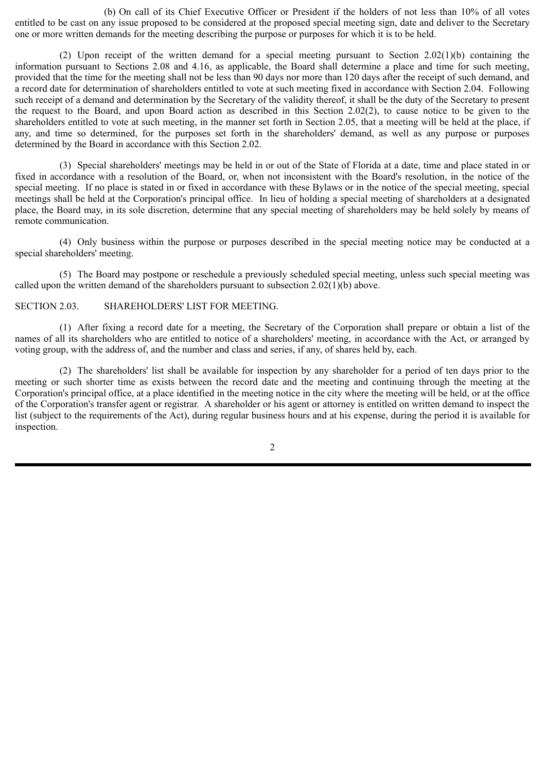<span id="page-9-0"></span>(b) On call of its Chief Executive Officer or President if the holders of not less than 10% of all votes entitled to be cast on any issue proposed to be considered at the proposed special meeting sign, date and deliver to the Secretary one or more written demands for the meeting describing the purpose or purposes for which it is to be held.

(2) Upon receipt of the written demand for a special meeting pursuant to Section 2.02(1)(b) containing the information pursuant to Sections 2.08 and 4.16, as applicable, the Board shall determine a place and time for such meeting, provided that the time for the meeting shall not be less than 90 days nor more than 120 days after the receipt of such demand, and a record date for determination of shareholders entitled to vote at such meeting fixed in accordance with Section 2.04. Following such receipt of a demand and determination by the Secretary of the validity thereof, it shall be the duty of the Secretary to present the request to the Board, and upon Board action as described in this Section 2.02(2), to cause notice to be given to the shareholders entitled to vote at such meeting, in the manner set forth in Section 2.05, that a meeting will be held at the place, if any, and time so determined, for the purposes set forth in the shareholders' demand, as well as any purpose or purposes determined by the Board in accordance with this Section 2.02.

(3) Special shareholders' meetings may be held in or out of the State of Florida at a date, time and place stated in or fixed in accordance with a resolution of the Board, or, when not inconsistent with the Board's resolution, in the notice of the special meeting. If no place is stated in or fixed in accordance with these Bylaws or in the notice of the special meeting, special meetings shall be held at the Corporation's principal office. In lieu of holding a special meeting of shareholders at a designated place, the Board may, in its sole discretion, determine that any special meeting of shareholders may be held solely by means of remote communication.

(4) Only business within the purpose or purposes described in the special meeting notice may be conducted at a special shareholders' meeting.

(5) The Board may postpone or reschedule a previously scheduled special meeting, unless such special meeting was called upon the written demand of the shareholders pursuant to subsection 2.02(1)(b) above.

SECTION 2.03. SHAREHOLDERS' LIST FOR MEETING.

(1) After fixing a record date for a meeting, the Secretary of the Corporation shall prepare or obtain a list of the names of all its shareholders who are entitled to notice of a shareholders' meeting, in accordance with the Act, or arranged by voting group, with the address of, and the number and class and series, if any, of shares held by, each.

(2) The shareholders' list shall be available for inspection by any shareholder for a period of ten days prior to the meeting or such shorter time as exists between the record date and the meeting and continuing through the meeting at the Corporation's principal office, at a place identified in the meeting notice in the city where the meeting will be held, or at the office of the Corporation's transfer agent or registrar. A shareholder or his agent or attorney is entitled on written demand to inspect the list (subject to the requirements of the Act), during regular business hours and at his expense, during the period it is available for inspection.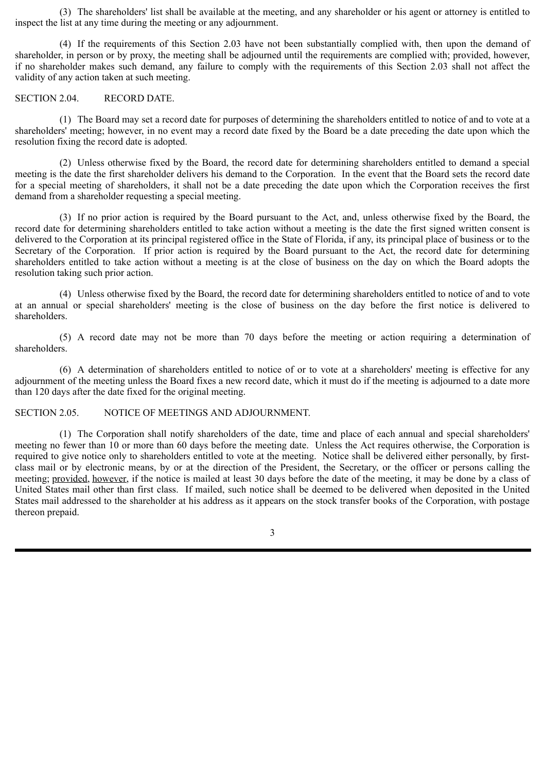<span id="page-10-0"></span>(3) The shareholders' list shall be available at the meeting, and any shareholder or his agent or attorney is entitled to inspect the list at any time during the meeting or any adjournment.

(4) If the requirements of this Section 2.03 have not been substantially complied with, then upon the demand of shareholder, in person or by proxy, the meeting shall be adjourned until the requirements are complied with; provided, however, if no shareholder makes such demand, any failure to comply with the requirements of this Section 2.03 shall not affect the validity of any action taken at such meeting.

#### SECTION 2.04. RECORD DATE.

(1) The Board may set a record date for purposes of determining the shareholders entitled to notice of and to vote at a shareholders' meeting; however, in no event may a record date fixed by the Board be a date preceding the date upon which the resolution fixing the record date is adopted.

(2) Unless otherwise fixed by the Board, the record date for determining shareholders entitled to demand a special meeting is the date the first shareholder delivers his demand to the Corporation. In the event that the Board sets the record date for a special meeting of shareholders, it shall not be a date preceding the date upon which the Corporation receives the first demand from a shareholder requesting a special meeting.

(3) If no prior action is required by the Board pursuant to the Act, and, unless otherwise fixed by the Board, the record date for determining shareholders entitled to take action without a meeting is the date the first signed written consent is delivered to the Corporation at its principal registered office in the State of Florida, if any, its principal place of business or to the Secretary of the Corporation. If prior action is required by the Board pursuant to the Act, the record date for determining shareholders entitled to take action without a meeting is at the close of business on the day on which the Board adopts the resolution taking such prior action.

(4) Unless otherwise fixed by the Board, the record date for determining shareholders entitled to notice of and to vote at an annual or special shareholders' meeting is the close of business on the day before the first notice is delivered to shareholders.

(5) A record date may not be more than 70 days before the meeting or action requiring a determination of shareholders.

(6) A determination of shareholders entitled to notice of or to vote at a shareholders' meeting is effective for any adjournment of the meeting unless the Board fixes a new record date, which it must do if the meeting is adjourned to a date more than 120 days after the date fixed for the original meeting.

#### SECTION 2.05. NOTICE OF MEETINGS AND ADJOURNMENT.

(1) The Corporation shall notify shareholders of the date, time and place of each annual and special shareholders' meeting no fewer than 10 or more than 60 days before the meeting date. Unless the Act requires otherwise, the Corporation is required to give notice only to shareholders entitled to vote at the meeting. Notice shall be delivered either personally, by firstclass mail or by electronic means, by or at the direction of the President, the Secretary, or the officer or persons calling the meeting; provided, however, if the notice is mailed at least 30 days before the date of the meeting, it may be done by a class of United States mail other than first class. If mailed, such notice shall be deemed to be delivered when deposited in the United States mail addressed to the shareholder at his address as it appears on the stock transfer books of the Corporation, with postage thereon prepaid.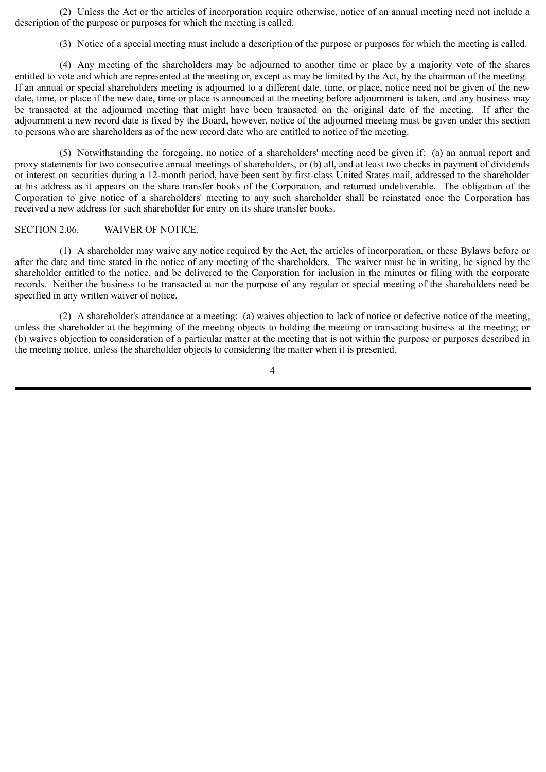<span id="page-11-0"></span>(2) Unless the Act or the articles of incorporation require otherwise, notice of an annual meeting need not include a description of the purpose or purposes for which the meeting is called.

(3) Notice of a special meeting must include a description of the purpose or purposes for which the meeting is called.

(4) Any meeting of the shareholders may be adjourned to another time or place by a majority vote of the shares entitled to vote and which are represented at the meeting or, except as may be limited by the Act, by the chairman of the meeting. If an annual or special shareholders meeting is adjourned to a different date, time, or place, notice need not be given of the new date, time, or place if the new date, time or place is announced at the meeting before adjournment is taken, and any business may be transacted at the adjourned meeting that might have been transacted on the original date of the meeting. If after the adjournment a new record date is fixed by the Board, however, notice of the adjourned meeting must be given under this section to persons who are shareholders as of the new record date who are entitled to notice of the meeting.

(5) Notwithstanding the foregoing, no notice of a shareholders' meeting need be given if: (a) an annual report and proxy statements for two consecutive annual meetings of shareholders, or (b) all, and at least two checks in payment of dividends or interest on securities during a 12-month period, have been sent by first-class United States mail, addressed to the shareholder at his address as it appears on the share transfer books of the Corporation, and returned undeliverable. The obligation of the Corporation to give notice of a shareholders' meeting to any such shareholder shall be reinstated once the Corporation has received a new address for such shareholder for entry on its share transfer books.

#### SECTION 2.06. WAIVER OF NOTICE.

(1) A shareholder may waive any notice required by the Act, the articles of incorporation, or these Bylaws before or after the date and time stated in the notice of any meeting of the shareholders. The waiver must be in writing, be signed by the shareholder entitled to the notice, and be delivered to the Corporation for inclusion in the minutes or filing with the corporate records. Neither the business to be transacted at nor the purpose of any regular or special meeting of the shareholders need be specified in any written waiver of notice.

(2) A shareholder's attendance at a meeting: (a) waives objection to lack of notice or defective notice of the meeting, unless the shareholder at the beginning of the meeting objects to holding the meeting or transacting business at the meeting; or (b) waives objection to consideration of a particular matter at the meeting that is not within the purpose or purposes described in the meeting notice, unless the shareholder objects to considering the matter when it is presented.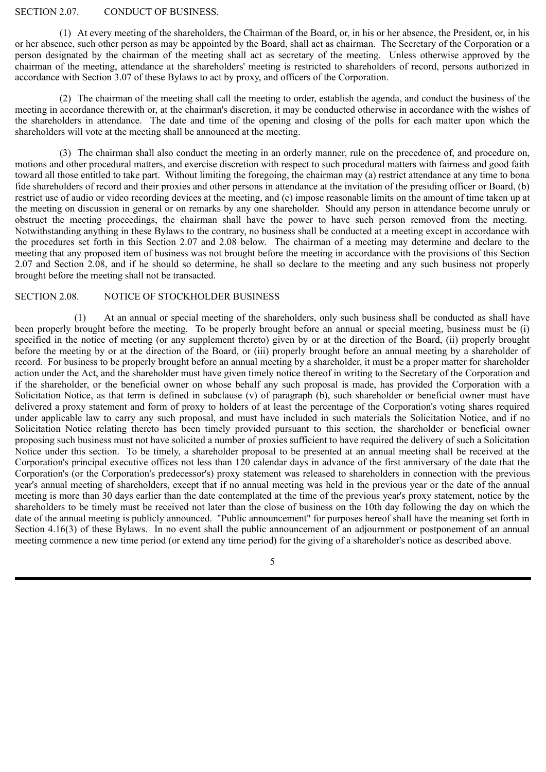#### <span id="page-12-0"></span>SECTION 2.07. CONDUCT OF BUSINESS.

(1) At every meeting of the shareholders, the Chairman of the Board, or, in his or her absence, the President, or, in his or her absence, such other person as may be appointed by the Board, shall act as chairman. The Secretary of the Corporation or a person designated by the chairman of the meeting shall act as secretary of the meeting. Unless otherwise approved by the chairman of the meeting, attendance at the shareholders' meeting is restricted to shareholders of record, persons authorized in accordance with Section 3.07 of these Bylaws to act by proxy, and officers of the Corporation.

(2) The chairman of the meeting shall call the meeting to order, establish the agenda, and conduct the business of the meeting in accordance therewith or, at the chairman's discretion, it may be conducted otherwise in accordance with the wishes of the shareholders in attendance. The date and time of the opening and closing of the polls for each matter upon which the shareholders will vote at the meeting shall be announced at the meeting.

(3) The chairman shall also conduct the meeting in an orderly manner, rule on the precedence of, and procedure on, motions and other procedural matters, and exercise discretion with respect to such procedural matters with fairness and good faith toward all those entitled to take part. Without limiting the foregoing, the chairman may (a) restrict attendance at any time to bona fide shareholders of record and their proxies and other persons in attendance at the invitation of the presiding officer or Board, (b) restrict use of audio or video recording devices at the meeting, and (c) impose reasonable limits on the amount of time taken up at the meeting on discussion in general or on remarks by any one shareholder. Should any person in attendance become unruly or obstruct the meeting proceedings, the chairman shall have the power to have such person removed from the meeting. Notwithstanding anything in these Bylaws to the contrary, no business shall be conducted at a meeting except in accordance with the procedures set forth in this Section 2.07 and 2.08 below. The chairman of a meeting may determine and declare to the meeting that any proposed item of business was not brought before the meeting in accordance with the provisions of this Section 2.07 and Section 2.08, and if he should so determine, he shall so declare to the meeting and any such business not properly brought before the meeting shall not be transacted.

#### SECTION 2.08. NOTICE OF STOCKHOLDER BUSINESS

(1) At an annual or special meeting of the shareholders, only such business shall be conducted as shall have been properly brought before the meeting. To be properly brought before an annual or special meeting, business must be (i) specified in the notice of meeting (or any supplement thereto) given by or at the direction of the Board, (ii) properly brought before the meeting by or at the direction of the Board, or (iii) properly brought before an annual meeting by a shareholder of record. For business to be properly brought before an annual meeting by a shareholder, it must be a proper matter for shareholder action under the Act, and the shareholder must have given timely notice thereof in writing to the Secretary of the Corporation and if the shareholder, or the beneficial owner on whose behalf any such proposal is made, has provided the Corporation with a Solicitation Notice, as that term is defined in subclause (v) of paragraph (b), such shareholder or beneficial owner must have delivered a proxy statement and form of proxy to holders of at least the percentage of the Corporation's voting shares required under applicable law to carry any such proposal, and must have included in such materials the Solicitation Notice, and if no Solicitation Notice relating thereto has been timely provided pursuant to this section, the shareholder or beneficial owner proposing such business must not have solicited a number of proxies sufficient to have required the delivery of such a Solicitation Notice under this section. To be timely, a shareholder proposal to be presented at an annual meeting shall be received at the Corporation's principal executive offices not less than 120 calendar days in advance of the first anniversary of the date that the Corporation's (or the Corporation's predecessor's) proxy statement was released to shareholders in connection with the previous year's annual meeting of shareholders, except that if no annual meeting was held in the previous year or the date of the annual meeting is more than 30 days earlier than the date contemplated at the time of the previous year's proxy statement, notice by the shareholders to be timely must be received not later than the close of business on the 10th day following the day on which the date of the annual meeting is publicly announced. "Public announcement" for purposes hereof shall have the meaning set forth in Section 4.16(3) of these Bylaws. In no event shall the public announcement of an adjournment or postponement of an annual meeting commence a new time period (or extend any time period) for the giving of a shareholder's notice as described above.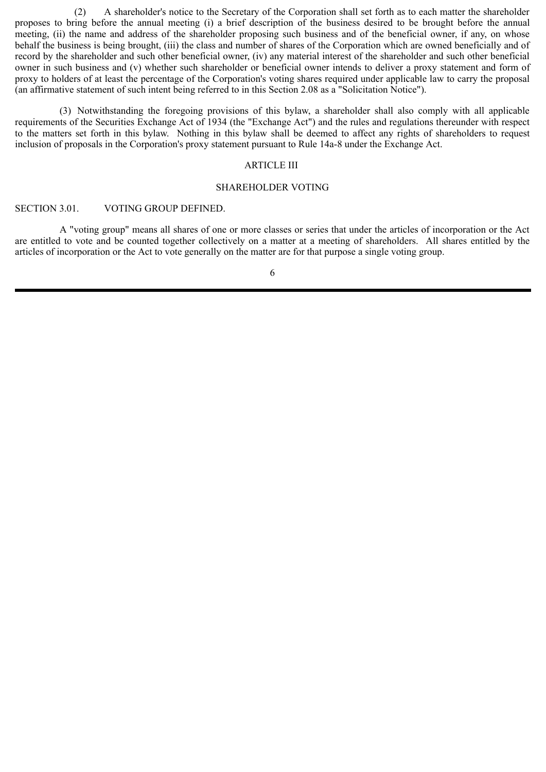<span id="page-13-0"></span>(2) A shareholder's notice to the Secretary of the Corporation shall set forth as to each matter the shareholder proposes to bring before the annual meeting (i) a brief description of the business desired to be brought before the annual meeting, (ii) the name and address of the shareholder proposing such business and of the beneficial owner, if any, on whose behalf the business is being brought, (iii) the class and number of shares of the Corporation which are owned beneficially and of record by the shareholder and such other beneficial owner, (iv) any material interest of the shareholder and such other beneficial owner in such business and (v) whether such shareholder or beneficial owner intends to deliver a proxy statement and form of proxy to holders of at least the percentage of the Corporation's voting shares required under applicable law to carry the proposal (an affirmative statement of such intent being referred to in this Section 2.08 as a "Solicitation Notice").

(3) Notwithstanding the foregoing provisions of this bylaw, a shareholder shall also comply with all applicable requirements of the Securities Exchange Act of 1934 (the "Exchange Act") and the rules and regulations thereunder with respect to the matters set forth in this bylaw. Nothing in this bylaw shall be deemed to affect any rights of shareholders to request inclusion of proposals in the Corporation's proxy statement pursuant to Rule 14a-8 under the Exchange Act.

#### ARTICLE III

#### SHAREHOLDER VOTING

#### SECTION 3.01 VOTING GROUP DEFINED.

A "voting group" means all shares of one or more classes or series that under the articles of incorporation or the Act are entitled to vote and be counted together collectively on a matter at a meeting of shareholders. All shares entitled by the articles of incorporation or the Act to vote generally on the matter are for that purpose a single voting group.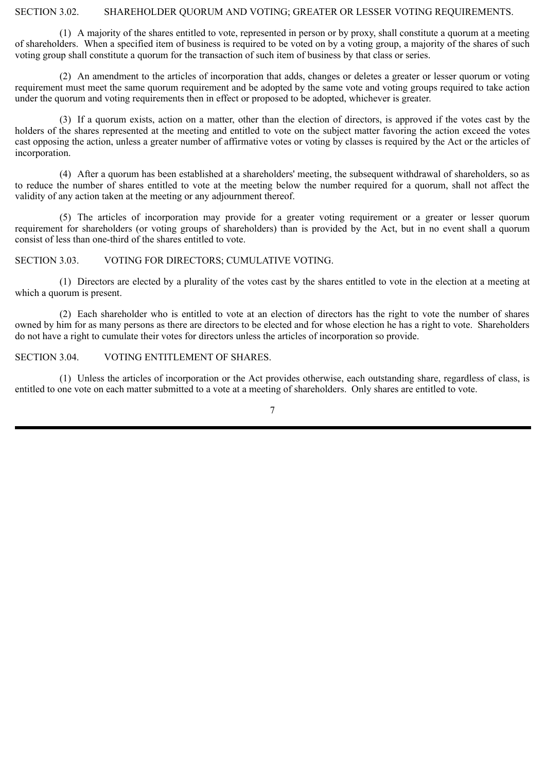#### <span id="page-14-0"></span>SECTION 3.02. SHAREHOLDER QUORUM AND VOTING; GREATER OR LESSER VOTING REQUIREMENTS.

(1) A majority of the shares entitled to vote, represented in person or by proxy, shall constitute a quorum at a meeting of shareholders. When a specified item of business is required to be voted on by a voting group, a majority of the shares of such voting group shall constitute a quorum for the transaction of such item of business by that class or series.

(2) An amendment to the articles of incorporation that adds, changes or deletes a greater or lesser quorum or voting requirement must meet the same quorum requirement and be adopted by the same vote and voting groups required to take action under the quorum and voting requirements then in effect or proposed to be adopted, whichever is greater.

(3) If a quorum exists, action on a matter, other than the election of directors, is approved if the votes cast by the holders of the shares represented at the meeting and entitled to vote on the subject matter favoring the action exceed the votes cast opposing the action, unless a greater number of affirmative votes or voting by classes is required by the Act or the articles of incorporation.

(4) After a quorum has been established at a shareholders' meeting, the subsequent withdrawal of shareholders, so as to reduce the number of shares entitled to vote at the meeting below the number required for a quorum, shall not affect the validity of any action taken at the meeting or any adjournment thereof.

(5) The articles of incorporation may provide for a greater voting requirement or a greater or lesser quorum requirement for shareholders (or voting groups of shareholders) than is provided by the Act, but in no event shall a quorum consist of less than one-third of the shares entitled to vote.

SECTION 3.03. VOTING FOR DIRECTORS; CUMULATIVE VOTING.

(1) Directors are elected by a plurality of the votes cast by the shares entitled to vote in the election at a meeting at which a quorum is present.

(2) Each shareholder who is entitled to vote at an election of directors has the right to vote the number of shares owned by him for as many persons as there are directors to be elected and for whose election he has a right to vote. Shareholders do not have a right to cumulate their votes for directors unless the articles of incorporation so provide.

SECTION 3.04. VOTING ENTITLEMENT OF SHARES.

(1) Unless the articles of incorporation or the Act provides otherwise, each outstanding share, regardless of class, is entitled to one vote on each matter submitted to a vote at a meeting of shareholders. Only shares are entitled to vote.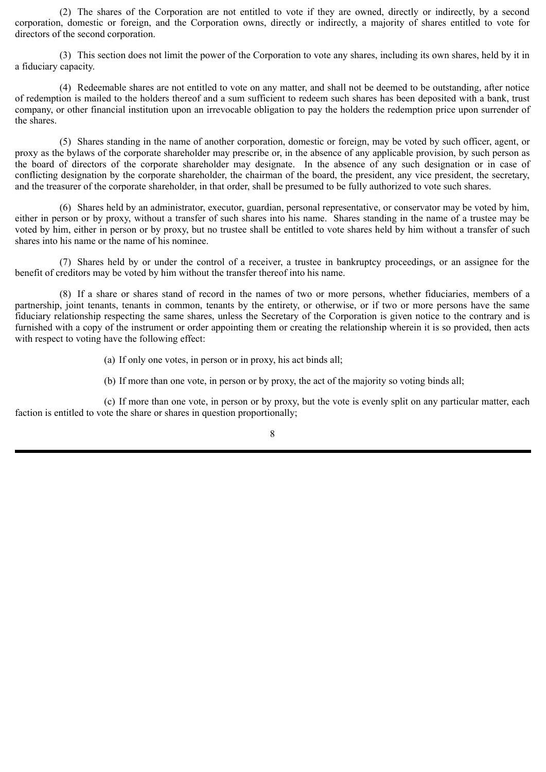(2) The shares of the Corporation are not entitled to vote if they are owned, directly or indirectly, by a second corporation, domestic or foreign, and the Corporation owns, directly or indirectly, a majority of shares entitled to vote for directors of the second corporation.

(3) This section does not limit the power of the Corporation to vote any shares, including its own shares, held by it in a fiduciary capacity.

(4) Redeemable shares are not entitled to vote on any matter, and shall not be deemed to be outstanding, after notice of redemption is mailed to the holders thereof and a sum sufficient to redeem such shares has been deposited with a bank, trust company, or other financial institution upon an irrevocable obligation to pay the holders the redemption price upon surrender of the shares.

(5) Shares standing in the name of another corporation, domestic or foreign, may be voted by such officer, agent, or proxy as the bylaws of the corporate shareholder may prescribe or, in the absence of any applicable provision, by such person as the board of directors of the corporate shareholder may designate. In the absence of any such designation or in case of conflicting designation by the corporate shareholder, the chairman of the board, the president, any vice president, the secretary, and the treasurer of the corporate shareholder, in that order, shall be presumed to be fully authorized to vote such shares.

(6) Shares held by an administrator, executor, guardian, personal representative, or conservator may be voted by him, either in person or by proxy, without a transfer of such shares into his name. Shares standing in the name of a trustee may be voted by him, either in person or by proxy, but no trustee shall be entitled to vote shares held by him without a transfer of such shares into his name or the name of his nominee.

(7) Shares held by or under the control of a receiver, a trustee in bankruptcy proceedings, or an assignee for the benefit of creditors may be voted by him without the transfer thereof into his name.

(8) If a share or shares stand of record in the names of two or more persons, whether fiduciaries, members of a partnership, joint tenants, tenants in common, tenants by the entirety, or otherwise, or if two or more persons have the same fiduciary relationship respecting the same shares, unless the Secretary of the Corporation is given notice to the contrary and is furnished with a copy of the instrument or order appointing them or creating the relationship wherein it is so provided, then acts with respect to voting have the following effect:

(a) If only one votes, in person or in proxy, his act binds all;

(b) If more than one vote, in person or by proxy, the act of the majority so voting binds all;

(c) If more than one vote, in person or by proxy, but the vote is evenly split on any particular matter, each faction is entitled to vote the share or shares in question proportionally;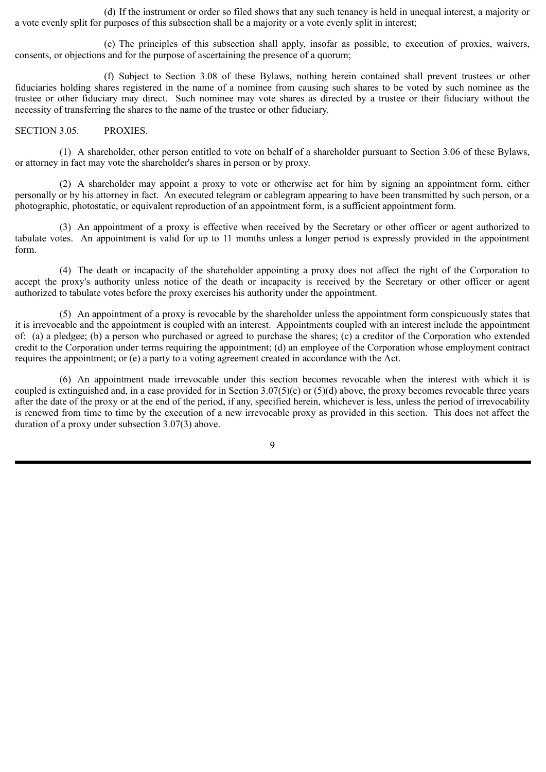<span id="page-16-0"></span>(d) If the instrument or order so filed shows that any such tenancy is held in unequal interest, a majority or a vote evenly split for purposes of this subsection shall be a majority or a vote evenly split in interest;

(e) The principles of this subsection shall apply, insofar as possible, to execution of proxies, waivers, consents, or objections and for the purpose of ascertaining the presence of a quorum;

(f) Subject to Section 3.08 of these Bylaws, nothing herein contained shall prevent trustees or other fiduciaries holding shares registered in the name of a nominee from causing such shares to be voted by such nominee as the trustee or other fiduciary may direct. Such nominee may vote shares as directed by a trustee or their fiduciary without the necessity of transferring the shares to the name of the trustee or other fiduciary.

#### SECTION 3.05. PROXIES.

(1) A shareholder, other person entitled to vote on behalf of a shareholder pursuant to Section 3.06 of these Bylaws, or attorney in fact may vote the shareholder's shares in person or by proxy.

(2) A shareholder may appoint a proxy to vote or otherwise act for him by signing an appointment form, either personally or by his attorney in fact. An executed telegram or cablegram appearing to have been transmitted by such person, or a photographic, photostatic, or equivalent reproduction of an appointment form, is a sufficient appointment form.

(3) An appointment of a proxy is effective when received by the Secretary or other officer or agent authorized to tabulate votes. An appointment is valid for up to 11 months unless a longer period is expressly provided in the appointment form.

(4) The death or incapacity of the shareholder appointing a proxy does not affect the right of the Corporation to accept the proxy's authority unless notice of the death or incapacity is received by the Secretary or other officer or agent authorized to tabulate votes before the proxy exercises his authority under the appointment.

(5) An appointment of a proxy is revocable by the shareholder unless the appointment form conspicuously states that it is irrevocable and the appointment is coupled with an interest. Appointments coupled with an interest include the appointment of: (a) a pledgee; (b) a person who purchased or agreed to purchase the shares; (c) a creditor of the Corporation who extended credit to the Corporation under terms requiring the appointment; (d) an employee of the Corporation whose employment contract requires the appointment; or (e) a party to a voting agreement created in accordance with the Act.

(6) An appointment made irrevocable under this section becomes revocable when the interest with which it is coupled is extinguished and, in a case provided for in Section  $3.07(5)(c)$  or  $(5)(d)$  above, the proxy becomes revocable three years after the date of the proxy or at the end of the period, if any, specified herein, whichever is less, unless the period of irrevocability is renewed from time to time by the execution of a new irrevocable proxy as provided in this section. This does not affect the duration of a proxy under subsection 3.07(3) above.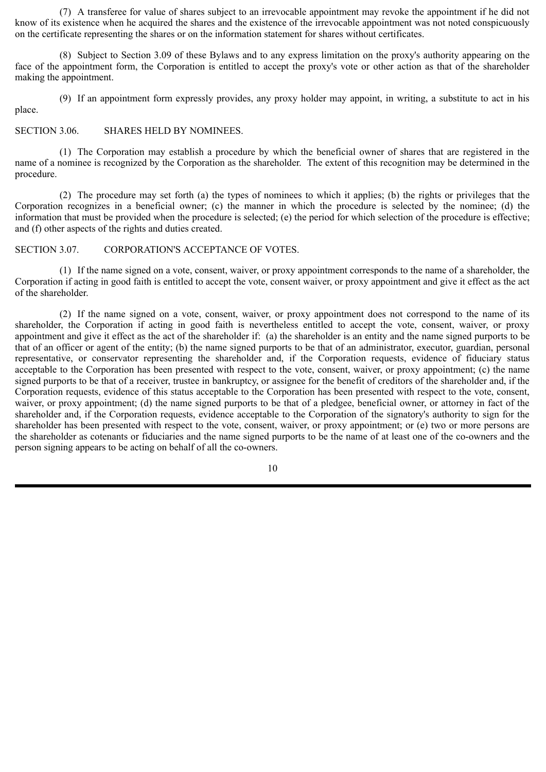<span id="page-17-0"></span>(7) A transferee for value of shares subject to an irrevocable appointment may revoke the appointment if he did not know of its existence when he acquired the shares and the existence of the irrevocable appointment was not noted conspicuously on the certificate representing the shares or on the information statement for shares without certificates.

(8) Subject to Section 3.09 of these Bylaws and to any express limitation on the proxy's authority appearing on the face of the appointment form, the Corporation is entitled to accept the proxy's vote or other action as that of the shareholder making the appointment.

(9) If an appointment form expressly provides, any proxy holder may appoint, in writing, a substitute to act in his place.

#### SECTION 3.06. SHARES HELD BY NOMINEES.

(1) The Corporation may establish a procedure by which the beneficial owner of shares that are registered in the name of a nominee is recognized by the Corporation as the shareholder. The extent of this recognition may be determined in the procedure.

(2) The procedure may set forth (a) the types of nominees to which it applies; (b) the rights or privileges that the Corporation recognizes in a beneficial owner; (c) the manner in which the procedure is selected by the nominee; (d) the information that must be provided when the procedure is selected; (e) the period for which selection of the procedure is effective; and (f) other aspects of the rights and duties created.

SECTION 3.07. CORPORATION'S ACCEPTANCE OF VOTES.

(1) If the name signed on a vote, consent, waiver, or proxy appointment corresponds to the name of a shareholder, the Corporation if acting in good faith is entitled to accept the vote, consent waiver, or proxy appointment and give it effect as the act of the shareholder.

(2) If the name signed on a vote, consent, waiver, or proxy appointment does not correspond to the name of its shareholder, the Corporation if acting in good faith is nevertheless entitled to accept the vote, consent, waiver, or proxy appointment and give it effect as the act of the shareholder if: (a) the shareholder is an entity and the name signed purports to be that of an officer or agent of the entity; (b) the name signed purports to be that of an administrator, executor, guardian, personal representative, or conservator representing the shareholder and, if the Corporation requests, evidence of fiduciary status acceptable to the Corporation has been presented with respect to the vote, consent, waiver, or proxy appointment; (c) the name signed purports to be that of a receiver, trustee in bankruptcy, or assignee for the benefit of creditors of the shareholder and, if the Corporation requests, evidence of this status acceptable to the Corporation has been presented with respect to the vote, consent, waiver, or proxy appointment; (d) the name signed purports to be that of a pledgee, beneficial owner, or attorney in fact of the shareholder and, if the Corporation requests, evidence acceptable to the Corporation of the signatory's authority to sign for the shareholder has been presented with respect to the vote, consent, waiver, or proxy appointment; or (e) two or more persons are the shareholder as cotenants or fiduciaries and the name signed purports to be the name of at least one of the co-owners and the person signing appears to be acting on behalf of all the co-owners.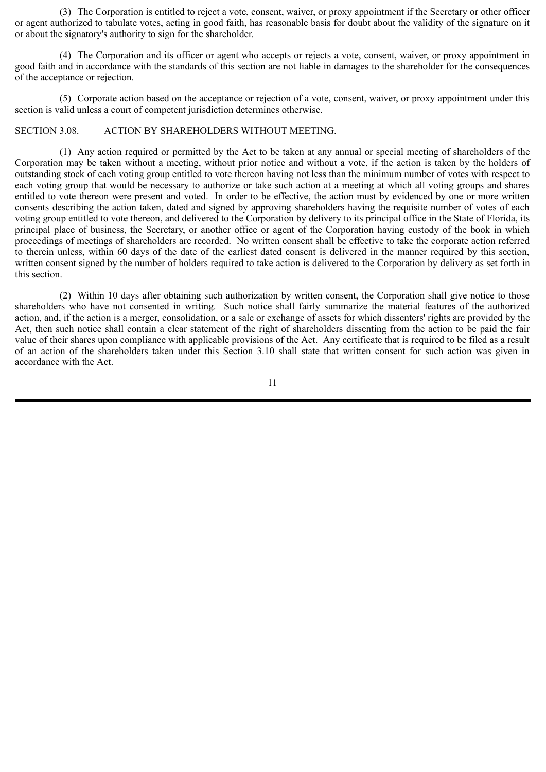<span id="page-18-0"></span>(3) The Corporation is entitled to reject a vote, consent, waiver, or proxy appointment if the Secretary or other officer or agent authorized to tabulate votes, acting in good faith, has reasonable basis for doubt about the validity of the signature on it or about the signatory's authority to sign for the shareholder.

(4) The Corporation and its officer or agent who accepts or rejects a vote, consent, waiver, or proxy appointment in good faith and in accordance with the standards of this section are not liable in damages to the shareholder for the consequences of the acceptance or rejection.

(5) Corporate action based on the acceptance or rejection of a vote, consent, waiver, or proxy appointment under this section is valid unless a court of competent jurisdiction determines otherwise.

SECTION 3.08. ACTION BY SHAREHOLDERS WITHOUT MEETING.

(1) Any action required or permitted by the Act to be taken at any annual or special meeting of shareholders of the Corporation may be taken without a meeting, without prior notice and without a vote, if the action is taken by the holders of outstanding stock of each voting group entitled to vote thereon having not less than the minimum number of votes with respect to each voting group that would be necessary to authorize or take such action at a meeting at which all voting groups and shares entitled to vote thereon were present and voted. In order to be effective, the action must by evidenced by one or more written consents describing the action taken, dated and signed by approving shareholders having the requisite number of votes of each voting group entitled to vote thereon, and delivered to the Corporation by delivery to its principal office in the State of Florida, its principal place of business, the Secretary, or another office or agent of the Corporation having custody of the book in which proceedings of meetings of shareholders are recorded. No written consent shall be effective to take the corporate action referred to therein unless, within 60 days of the date of the earliest dated consent is delivered in the manner required by this section, written consent signed by the number of holders required to take action is delivered to the Corporation by delivery as set forth in this section.

(2) Within 10 days after obtaining such authorization by written consent, the Corporation shall give notice to those shareholders who have not consented in writing. Such notice shall fairly summarize the material features of the authorized action, and, if the action is a merger, consolidation, or a sale or exchange of assets for which dissenters' rights are provided by the Act, then such notice shall contain a clear statement of the right of shareholders dissenting from the action to be paid the fair value of their shares upon compliance with applicable provisions of the Act. Any certificate that is required to be filed as a result of an action of the shareholders taken under this Section 3.10 shall state that written consent for such action was given in accordance with the Act.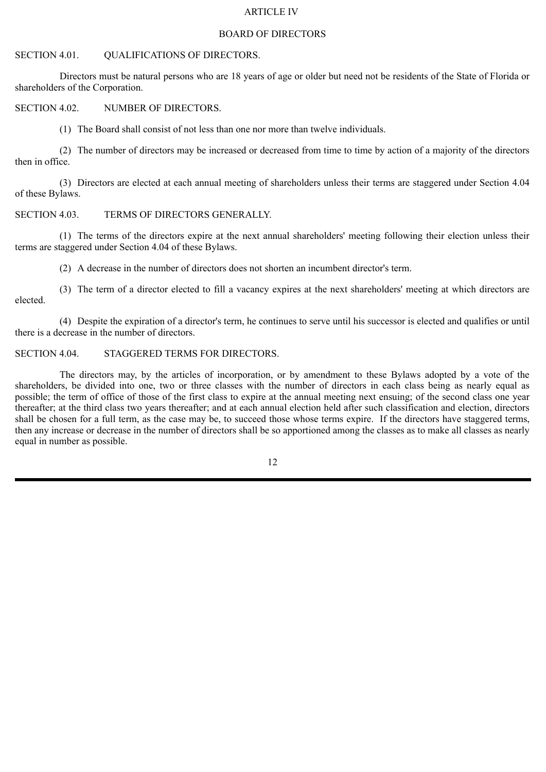#### ARTICLE IV

#### BOARD OF DIRECTORS

#### <span id="page-19-0"></span>SECTION 4.01. QUALIFICATIONS OF DIRECTORS.

Directors must be natural persons who are 18 years of age or older but need not be residents of the State of Florida or shareholders of the Corporation.

SECTION 4.02 NUMBER OF DIRECTORS

(1) The Board shall consist of not less than one nor more than twelve individuals.

(2) The number of directors may be increased or decreased from time to time by action of a majority of the directors then in office.

(3) Directors are elected at each annual meeting of shareholders unless their terms are staggered under Section 4.04 of these Bylaws.

#### SECTION 4.03 TERMS OF DIRECTORS GENERALLY

(1) The terms of the directors expire at the next annual shareholders' meeting following their election unless their terms are staggered under Section 4.04 of these Bylaws.

(2) A decrease in the number of directors does not shorten an incumbent director's term.

(3) The term of a director elected to fill a vacancy expires at the next shareholders' meeting at which directors are elected.

(4) Despite the expiration of a director's term, he continues to serve until his successor is elected and qualifies or until there is a decrease in the number of directors.

#### SECTION 4.04. STAGGERED TERMS FOR DIRECTORS.

The directors may, by the articles of incorporation, or by amendment to these Bylaws adopted by a vote of the shareholders, be divided into one, two or three classes with the number of directors in each class being as nearly equal as possible; the term of office of those of the first class to expire at the annual meeting next ensuing; of the second class one year thereafter; at the third class two years thereafter; and at each annual election held after such classification and election, directors shall be chosen for a full term, as the case may be, to succeed those whose terms expire. If the directors have staggered terms, then any increase or decrease in the number of directors shall be so apportioned among the classes as to make all classes as nearly equal in number as possible.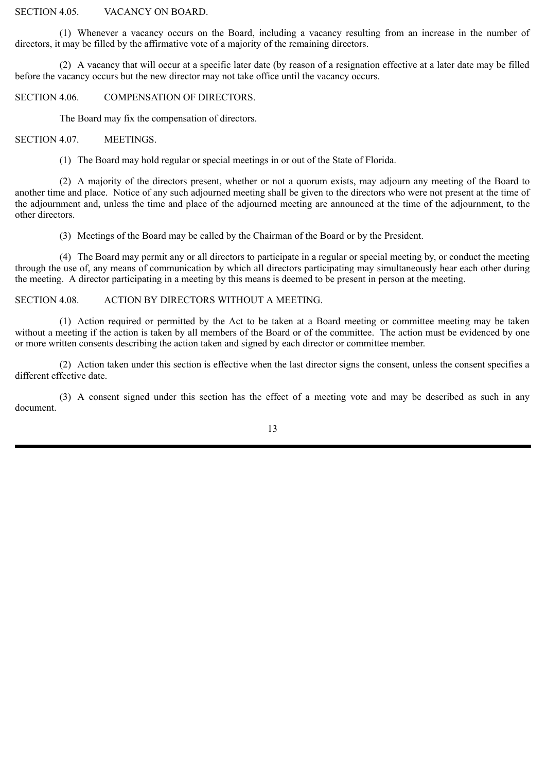<span id="page-20-0"></span>SECTION 4.05. VACANCY ON BOARD.

(1) Whenever a vacancy occurs on the Board, including a vacancy resulting from an increase in the number of directors, it may be filled by the affirmative vote of a majority of the remaining directors.

(2) A vacancy that will occur at a specific later date (by reason of a resignation effective at a later date may be filled before the vacancy occurs but the new director may not take office until the vacancy occurs.

SECTION 4.06. COMPENSATION OF DIRECTORS.

The Board may fix the compensation of directors.

SECTION 4.07 MEETINGS

(1) The Board may hold regular or special meetings in or out of the State of Florida.

(2) A majority of the directors present, whether or not a quorum exists, may adjourn any meeting of the Board to another time and place. Notice of any such adjourned meeting shall be given to the directors who were not present at the time of the adjournment and, unless the time and place of the adjourned meeting are announced at the time of the adjournment, to the other directors.

(3) Meetings of the Board may be called by the Chairman of the Board or by the President.

(4) The Board may permit any or all directors to participate in a regular or special meeting by, or conduct the meeting through the use of, any means of communication by which all directors participating may simultaneously hear each other during the meeting. A director participating in a meeting by this means is deemed to be present in person at the meeting.

SECTION 4.08. ACTION BY DIRECTORS WITHOUT A MEETING.

(1) Action required or permitted by the Act to be taken at a Board meeting or committee meeting may be taken without a meeting if the action is taken by all members of the Board or of the committee. The action must be evidenced by one or more written consents describing the action taken and signed by each director or committee member.

(2) Action taken under this section is effective when the last director signs the consent, unless the consent specifies a different effective date.

(3) A consent signed under this section has the effect of a meeting vote and may be described as such in any document.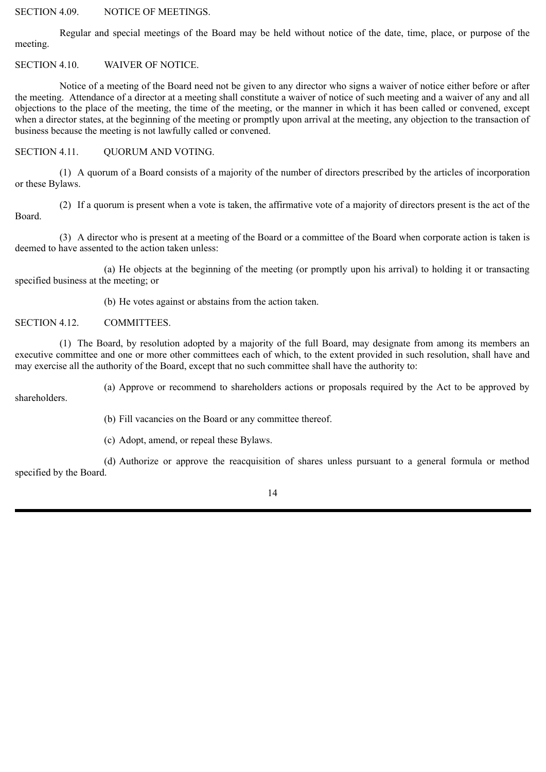<span id="page-21-0"></span>SECTION 4.09. NOTICE OF MEETINGS.

Regular and special meetings of the Board may be held without notice of the date, time, place, or purpose of the meeting.

SECTION 4.10. WAIVER OF NOTICE.

Notice of a meeting of the Board need not be given to any director who signs a waiver of notice either before or after the meeting. Attendance of a director at a meeting shall constitute a waiver of notice of such meeting and a waiver of any and all objections to the place of the meeting, the time of the meeting, or the manner in which it has been called or convened, except when a director states, at the beginning of the meeting or promptly upon arrival at the meeting, any objection to the transaction of business because the meeting is not lawfully called or convened.

SECTION 4.11. OUORUM AND VOTING.

(1) A quorum of a Board consists of a majority of the number of directors prescribed by the articles of incorporation or these Bylaws.

(2) If a quorum is present when a vote is taken, the affirmative vote of a majority of directors present is the act of the Board.

(3) A director who is present at a meeting of the Board or a committee of the Board when corporate action is taken is deemed to have assented to the action taken unless:

(a) He objects at the beginning of the meeting (or promptly upon his arrival) to holding it or transacting specified business at the meeting; or

(b) He votes against or abstains from the action taken.

#### SECTION 4.12. COMMITTEES.

(1) The Board, by resolution adopted by a majority of the full Board, may designate from among its members an executive committee and one or more other committees each of which, to the extent provided in such resolution, shall have and may exercise all the authority of the Board, except that no such committee shall have the authority to:

(a) Approve or recommend to shareholders actions or proposals required by the Act to be approved by shareholders.

(b) Fill vacancies on the Board or any committee thereof.

(c) Adopt, amend, or repeal these Bylaws.

(d) Authorize or approve the reacquisition of shares unless pursuant to a general formula or method specified by the Board.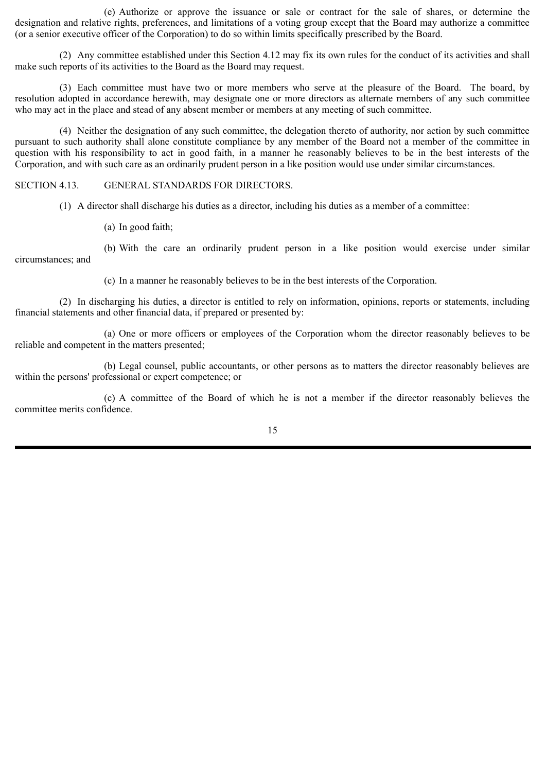<span id="page-22-0"></span>(e) Authorize or approve the issuance or sale or contract for the sale of shares, or determine the designation and relative rights, preferences, and limitations of a voting group except that the Board may authorize a committee (or a senior executive officer of the Corporation) to do so within limits specifically prescribed by the Board.

(2) Any committee established under this Section 4.12 may fix its own rules for the conduct of its activities and shall make such reports of its activities to the Board as the Board may request.

(3) Each committee must have two or more members who serve at the pleasure of the Board. The board, by resolution adopted in accordance herewith, may designate one or more directors as alternate members of any such committee who may act in the place and stead of any absent member or members at any meeting of such committee.

(4) Neither the designation of any such committee, the delegation thereto of authority, nor action by such committee pursuant to such authority shall alone constitute compliance by any member of the Board not a member of the committee in question with his responsibility to act in good faith, in a manner he reasonably believes to be in the best interests of the Corporation, and with such care as an ordinarily prudent person in a like position would use under similar circumstances.

SECTION 4.13. GENERAL STANDARDS FOR DIRECTORS.

(1) A director shall discharge his duties as a director, including his duties as a member of a committee:

(a) In good faith;

(b) With the care an ordinarily prudent person in a like position would exercise under similar circumstances; and

(c) In a manner he reasonably believes to be in the best interests of the Corporation.

(2) In discharging his duties, a director is entitled to rely on information, opinions, reports or statements, including financial statements and other financial data, if prepared or presented by:

(a) One or more officers or employees of the Corporation whom the director reasonably believes to be reliable and competent in the matters presented;

(b) Legal counsel, public accountants, or other persons as to matters the director reasonably believes are within the persons' professional or expert competence; or

(c) A committee of the Board of which he is not a member if the director reasonably believes the committee merits confidence.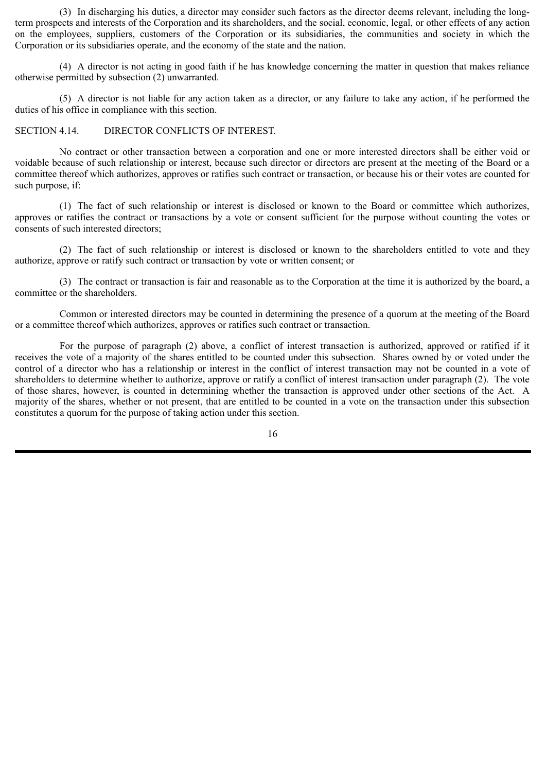<span id="page-23-0"></span>(3) In discharging his duties, a director may consider such factors as the director deems relevant, including the longterm prospects and interests of the Corporation and its shareholders, and the social, economic, legal, or other effects of any action on the employees, suppliers, customers of the Corporation or its subsidiaries, the communities and society in which the Corporation or its subsidiaries operate, and the economy of the state and the nation.

(4) A director is not acting in good faith if he has knowledge concerning the matter in question that makes reliance otherwise permitted by subsection (2) unwarranted.

(5) A director is not liable for any action taken as a director, or any failure to take any action, if he performed the duties of his office in compliance with this section.

SECTION 4.14. DIRECTOR CONFLICTS OF INTEREST.

No contract or other transaction between a corporation and one or more interested directors shall be either void or voidable because of such relationship or interest, because such director or directors are present at the meeting of the Board or a committee thereof which authorizes, approves or ratifies such contract or transaction, or because his or their votes are counted for such purpose, if:

(1) The fact of such relationship or interest is disclosed or known to the Board or committee which authorizes, approves or ratifies the contract or transactions by a vote or consent sufficient for the purpose without counting the votes or consents of such interested directors;

(2) The fact of such relationship or interest is disclosed or known to the shareholders entitled to vote and they authorize, approve or ratify such contract or transaction by vote or written consent; or

(3) The contract or transaction is fair and reasonable as to the Corporation at the time it is authorized by the board, a committee or the shareholders.

Common or interested directors may be counted in determining the presence of a quorum at the meeting of the Board or a committee thereof which authorizes, approves or ratifies such contract or transaction.

For the purpose of paragraph (2) above, a conflict of interest transaction is authorized, approved or ratified if it receives the vote of a majority of the shares entitled to be counted under this subsection. Shares owned by or voted under the control of a director who has a relationship or interest in the conflict of interest transaction may not be counted in a vote of shareholders to determine whether to authorize, approve or ratify a conflict of interest transaction under paragraph (2). The vote of those shares, however, is counted in determining whether the transaction is approved under other sections of the Act. A majority of the shares, whether or not present, that are entitled to be counted in a vote on the transaction under this subsection constitutes a quorum for the purpose of taking action under this section.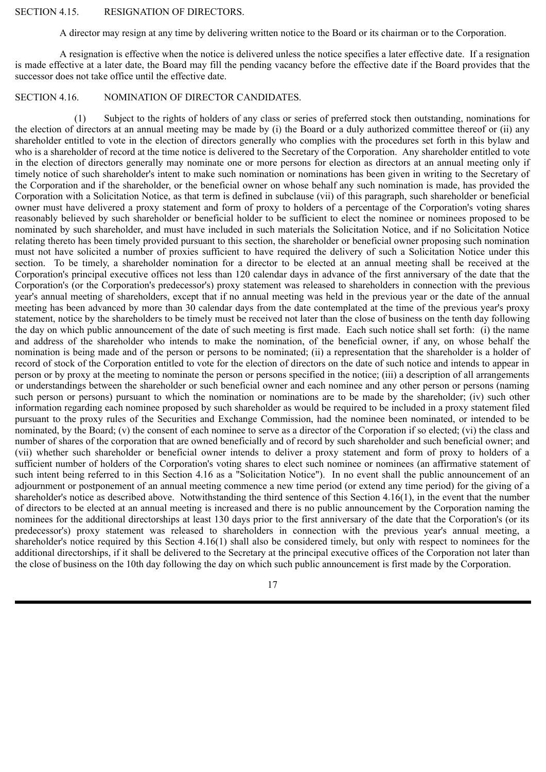#### <span id="page-24-0"></span>SECTION 4.15. RESIGNATION OF DIRECTORS.

A director may resign at any time by delivering written notice to the Board or its chairman or to the Corporation.

A resignation is effective when the notice is delivered unless the notice specifies a later effective date. If a resignation is made effective at a later date, the Board may fill the pending vacancy before the effective date if the Board provides that the successor does not take office until the effective date.

#### SECTION 4.16. NOMINATION OF DIRECTOR CANDIDATES.

(1) Subject to the rights of holders of any class or series of preferred stock then outstanding, nominations for the election of directors at an annual meeting may be made by (i) the Board or a duly authorized committee thereof or (ii) any shareholder entitled to vote in the election of directors generally who complies with the procedures set forth in this bylaw and who is a shareholder of record at the time notice is delivered to the Secretary of the Corporation. Any shareholder entitled to vote in the election of directors generally may nominate one or more persons for election as directors at an annual meeting only if timely notice of such shareholder's intent to make such nomination or nominations has been given in writing to the Secretary of the Corporation and if the shareholder, or the beneficial owner on whose behalf any such nomination is made, has provided the Corporation with a Solicitation Notice, as that term is defined in subclause (vii) of this paragraph, such shareholder or beneficial owner must have delivered a proxy statement and form of proxy to holders of a percentage of the Corporation's voting shares reasonably believed by such shareholder or beneficial holder to be sufficient to elect the nominee or nominees proposed to be nominated by such shareholder, and must have included in such materials the Solicitation Notice, and if no Solicitation Notice relating thereto has been timely provided pursuant to this section, the shareholder or beneficial owner proposing such nomination must not have solicited a number of proxies sufficient to have required the delivery of such a Solicitation Notice under this section. To be timely, a shareholder nomination for a director to be elected at an annual meeting shall be received at the Corporation's principal executive offices not less than 120 calendar days in advance of the first anniversary of the date that the Corporation's (or the Corporation's predecessor's) proxy statement was released to shareholders in connection with the previous year's annual meeting of shareholders, except that if no annual meeting was held in the previous year or the date of the annual meeting has been advanced by more than 30 calendar days from the date contemplated at the time of the previous year's proxy statement, notice by the shareholders to be timely must be received not later than the close of business on the tenth day following the day on which public announcement of the date of such meeting is first made. Each such notice shall set forth: (i) the name and address of the shareholder who intends to make the nomination, of the beneficial owner, if any, on whose behalf the nomination is being made and of the person or persons to be nominated; (ii) a representation that the shareholder is a holder of record of stock of the Corporation entitled to vote for the election of directors on the date of such notice and intends to appear in person or by proxy at the meeting to nominate the person or persons specified in the notice; (iii) a description of all arrangements or understandings between the shareholder or such beneficial owner and each nominee and any other person or persons (naming such person or persons) pursuant to which the nomination or nominations are to be made by the shareholder; (iv) such other information regarding each nominee proposed by such shareholder as would be required to be included in a proxy statement filed pursuant to the proxy rules of the Securities and Exchange Commission, had the nominee been nominated, or intended to be nominated, by the Board; (v) the consent of each nominee to serve as a director of the Corporation if so elected; (vi) the class and number of shares of the corporation that are owned beneficially and of record by such shareholder and such beneficial owner; and (vii) whether such shareholder or beneficial owner intends to deliver a proxy statement and form of proxy to holders of a sufficient number of holders of the Corporation's voting shares to elect such nominee or nominees (an affirmative statement of such intent being referred to in this Section 4.16 as a "Solicitation Notice"). In no event shall the public announcement of an adjournment or postponement of an annual meeting commence a new time period (or extend any time period) for the giving of a shareholder's notice as described above. Notwithstanding the third sentence of this Section 4.16(1), in the event that the number of directors to be elected at an annual meeting is increased and there is no public announcement by the Corporation naming the nominees for the additional directorships at least 130 days prior to the first anniversary of the date that the Corporation's (or its predecessor's) proxy statement was released to shareholders in connection with the previous year's annual meeting, a shareholder's notice required by this Section 4.16(1) shall also be considered timely, but only with respect to nominees for the additional directorships, if it shall be delivered to the Secretary at the principal executive offices of the Corporation not later than the close of business on the 10th day following the day on which such public announcement is first made by the Corporation.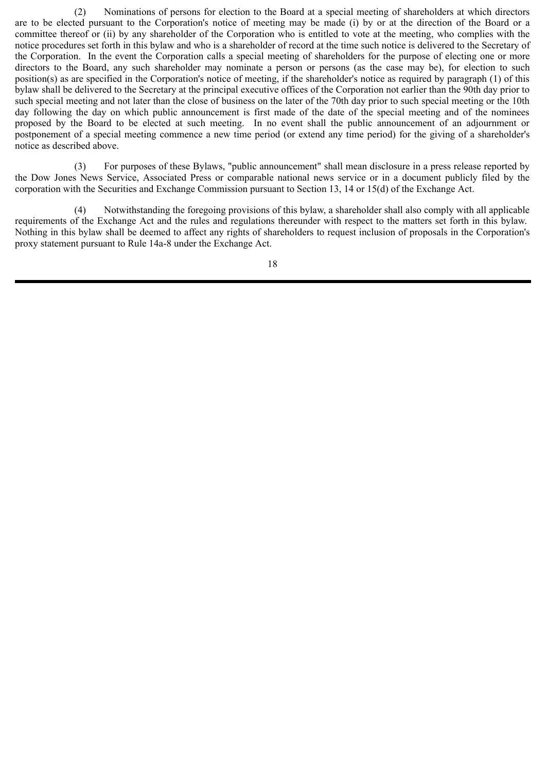(2) Nominations of persons for election to the Board at a special meeting of shareholders at which directors are to be elected pursuant to the Corporation's notice of meeting may be made (i) by or at the direction of the Board or a committee thereof or (ii) by any shareholder of the Corporation who is entitled to vote at the meeting, who complies with the notice procedures set forth in this bylaw and who is a shareholder of record at the time such notice is delivered to the Secretary of the Corporation. In the event the Corporation calls a special meeting of shareholders for the purpose of electing one or more directors to the Board, any such shareholder may nominate a person or persons (as the case may be), for election to such position(s) as are specified in the Corporation's notice of meeting, if the shareholder's notice as required by paragraph (1) of this bylaw shall be delivered to the Secretary at the principal executive offices of the Corporation not earlier than the 90th day prior to such special meeting and not later than the close of business on the later of the 70th day prior to such special meeting or the 10th day following the day on which public announcement is first made of the date of the special meeting and of the nominees proposed by the Board to be elected at such meeting. In no event shall the public announcement of an adjournment or postponement of a special meeting commence a new time period (or extend any time period) for the giving of a shareholder's notice as described above.

(3) For purposes of these Bylaws, "public announcement" shall mean disclosure in a press release reported by the Dow Jones News Service, Associated Press or comparable national news service or in a document publicly filed by the corporation with the Securities and Exchange Commission pursuant to Section 13, 14 or 15(d) of the Exchange Act.

(4) Notwithstanding the foregoing provisions of this bylaw, a shareholder shall also comply with all applicable requirements of the Exchange Act and the rules and regulations thereunder with respect to the matters set forth in this bylaw. Nothing in this bylaw shall be deemed to affect any rights of shareholders to request inclusion of proposals in the Corporation's proxy statement pursuant to Rule 14a-8 under the Exchange Act.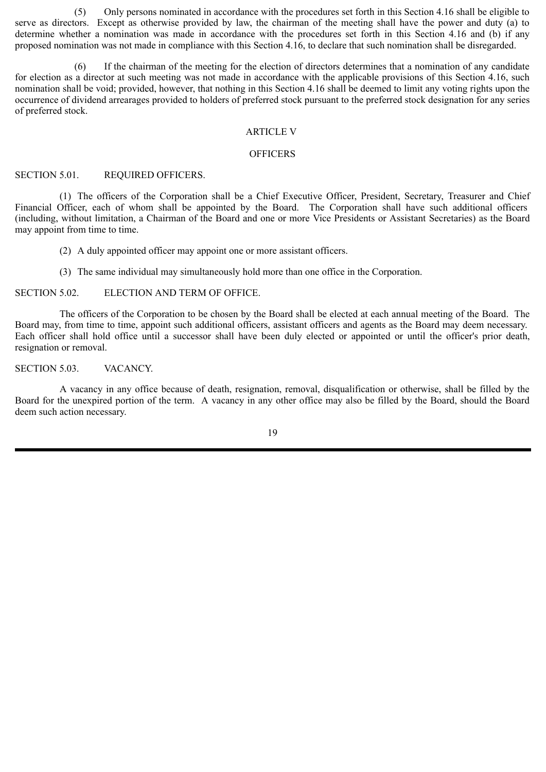<span id="page-26-0"></span>(5) Only persons nominated in accordance with the procedures set forth in this Section 4.16 shall be eligible to serve as directors. Except as otherwise provided by law, the chairman of the meeting shall have the power and duty (a) to determine whether a nomination was made in accordance with the procedures set forth in this Section 4.16 and (b) if any proposed nomination was not made in compliance with this Section 4.16, to declare that such nomination shall be disregarded.

(6) If the chairman of the meeting for the election of directors determines that a nomination of any candidate for election as a director at such meeting was not made in accordance with the applicable provisions of this Section 4.16, such nomination shall be void; provided, however, that nothing in this Section 4.16 shall be deemed to limit any voting rights upon the occurrence of dividend arrearages provided to holders of preferred stock pursuant to the preferred stock designation for any series of preferred stock.

#### ARTICLE V

#### **OFFICERS**

SECTION 5.01. REQUIRED OFFICERS.

(1) The officers of the Corporation shall be a Chief Executive Officer, President, Secretary, Treasurer and Chief Financial Officer, each of whom shall be appointed by the Board. The Corporation shall have such additional officers (including, without limitation, a Chairman of the Board and one or more Vice Presidents or Assistant Secretaries) as the Board may appoint from time to time.

(2) A duly appointed officer may appoint one or more assistant officers.

(3) The same individual may simultaneously hold more than one office in the Corporation.

SECTION 5.02. ELECTION AND TERM OF OFFICE.

The officers of the Corporation to be chosen by the Board shall be elected at each annual meeting of the Board. The Board may, from time to time, appoint such additional officers, assistant officers and agents as the Board may deem necessary. Each officer shall hold office until a successor shall have been duly elected or appointed or until the officer's prior death, resignation or removal.

SECTION 5.03. VACANCY.

A vacancy in any office because of death, resignation, removal, disqualification or otherwise, shall be filled by the Board for the unexpired portion of the term. A vacancy in any other office may also be filled by the Board, should the Board deem such action necessary.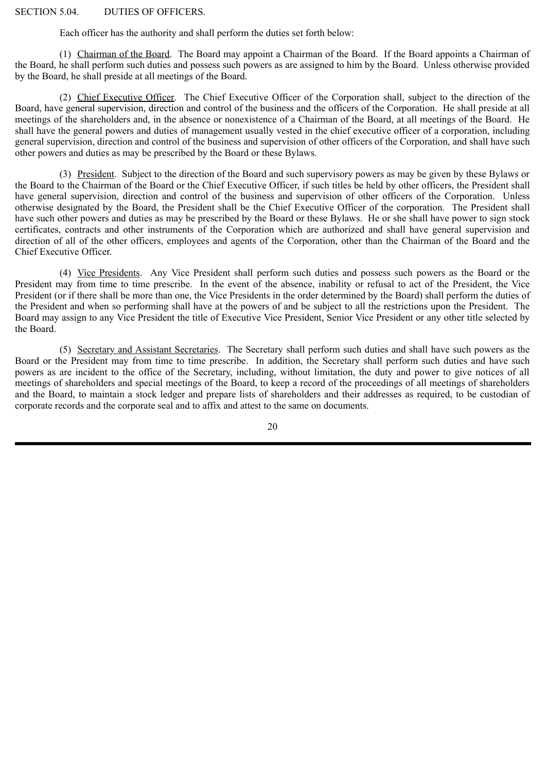#### <span id="page-27-0"></span>SECTION 5.04. DUTIES OF OFFICERS.

Each officer has the authority and shall perform the duties set forth below:

(1) Chairman of the Board. The Board may appoint a Chairman of the Board. If the Board appoints a Chairman of the Board, he shall perform such duties and possess such powers as are assigned to him by the Board. Unless otherwise provided by the Board, he shall preside at all meetings of the Board.

(2) Chief Executive Officer. The Chief Executive Officer of the Corporation shall, subject to the direction of the Board, have general supervision, direction and control of the business and the officers of the Corporation. He shall preside at all meetings of the shareholders and, in the absence or nonexistence of a Chairman of the Board, at all meetings of the Board. He shall have the general powers and duties of management usually vested in the chief executive officer of a corporation, including general supervision, direction and control of the business and supervision of other officers of the Corporation, and shall have such other powers and duties as may be prescribed by the Board or these Bylaws.

(3) President. Subject to the direction of the Board and such supervisory powers as may be given by these Bylaws or the Board to the Chairman of the Board or the Chief Executive Officer, if such titles be held by other officers, the President shall have general supervision, direction and control of the business and supervision of other officers of the Corporation. Unless otherwise designated by the Board, the President shall be the Chief Executive Officer of the corporation. The President shall have such other powers and duties as may be prescribed by the Board or these Bylaws. He or she shall have power to sign stock certificates, contracts and other instruments of the Corporation which are authorized and shall have general supervision and direction of all of the other officers, employees and agents of the Corporation, other than the Chairman of the Board and the Chief Executive Officer.

(4) Vice Presidents. Any Vice President shall perform such duties and possess such powers as the Board or the President may from time to time prescribe. In the event of the absence, inability or refusal to act of the President, the Vice President (or if there shall be more than one, the Vice Presidents in the order determined by the Board) shall perform the duties of the President and when so performing shall have at the powers of and be subject to all the restrictions upon the President. The Board may assign to any Vice President the title of Executive Vice President, Senior Vice President or any other title selected by the Board.

(5) Secretary and Assistant Secretaries. The Secretary shall perform such duties and shall have such powers as the Board or the President may from time to time prescribe. In addition, the Secretary shall perform such duties and have such powers as are incident to the office of the Secretary, including, without limitation, the duty and power to give notices of all meetings of shareholders and special meetings of the Board, to keep a record of the proceedings of all meetings of shareholders and the Board, to maintain a stock ledger and prepare lists of shareholders and their addresses as required, to be custodian of corporate records and the corporate seal and to affix and attest to the same on documents.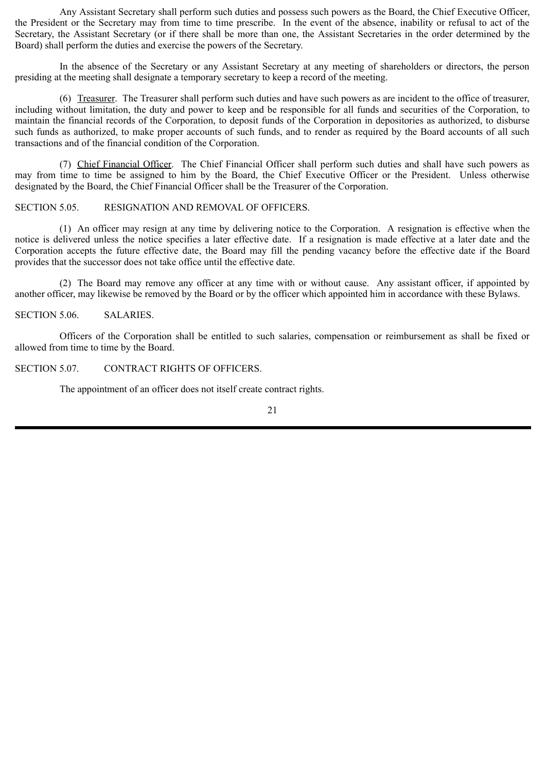<span id="page-28-0"></span>Any Assistant Secretary shall perform such duties and possess such powers as the Board, the Chief Executive Officer, the President or the Secretary may from time to time prescribe. In the event of the absence, inability or refusal to act of the Secretary, the Assistant Secretary (or if there shall be more than one, the Assistant Secretaries in the order determined by the Board) shall perform the duties and exercise the powers of the Secretary.

In the absence of the Secretary or any Assistant Secretary at any meeting of shareholders or directors, the person presiding at the meeting shall designate a temporary secretary to keep a record of the meeting.

(6) Treasurer. The Treasurer shall perform such duties and have such powers as are incident to the office of treasurer, including without limitation, the duty and power to keep and be responsible for all funds and securities of the Corporation, to maintain the financial records of the Corporation, to deposit funds of the Corporation in depositories as authorized, to disburse such funds as authorized, to make proper accounts of such funds, and to render as required by the Board accounts of all such transactions and of the financial condition of the Corporation.

(7) Chief Financial Officer. The Chief Financial Officer shall perform such duties and shall have such powers as may from time to time be assigned to him by the Board, the Chief Executive Officer or the President. Unless otherwise designated by the Board, the Chief Financial Officer shall be the Treasurer of the Corporation.

#### SECTION 5.05 RESIGNATION AND REMOVAL OF OFFICERS

(1) An officer may resign at any time by delivering notice to the Corporation. A resignation is effective when the notice is delivered unless the notice specifies a later effective date. If a resignation is made effective at a later date and the Corporation accepts the future effective date, the Board may fill the pending vacancy before the effective date if the Board provides that the successor does not take office until the effective date.

(2) The Board may remove any officer at any time with or without cause. Any assistant officer, if appointed by another officer, may likewise be removed by the Board or by the officer which appointed him in accordance with these Bylaws.

#### SECTION 5.06. SALARIES.

Officers of the Corporation shall be entitled to such salaries, compensation or reimbursement as shall be fixed or allowed from time to time by the Board.

SECTION 5.07. CONTRACT RIGHTS OF OFFICERS.

The appointment of an officer does not itself create contract rights.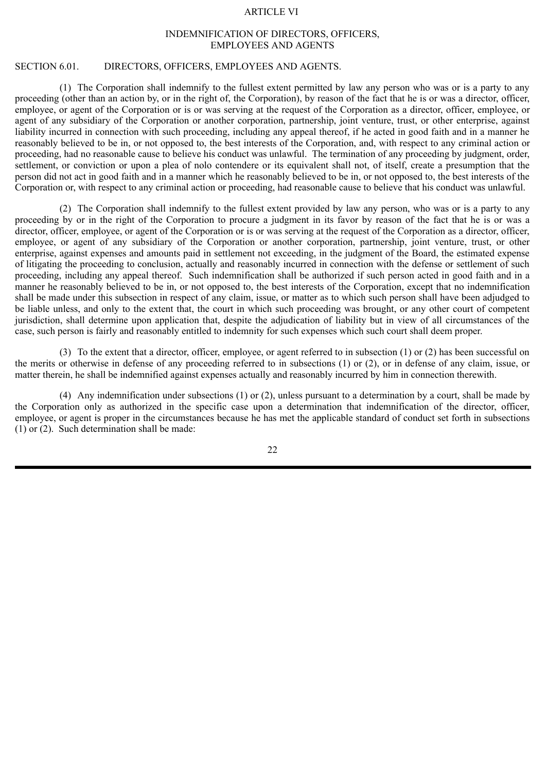#### ARTICLE VI

#### INDEMNIFICATION OF DIRECTORS, OFFICERS, EMPLOYEES AND AGENTS

#### <span id="page-29-0"></span>SECTION 6.01. DIRECTORS, OFFICERS, EMPLOYEES AND AGENTS.

(1) The Corporation shall indemnify to the fullest extent permitted by law any person who was or is a party to any proceeding (other than an action by, or in the right of, the Corporation), by reason of the fact that he is or was a director, officer, employee, or agent of the Corporation or is or was serving at the request of the Corporation as a director, officer, employee, or agent of any subsidiary of the Corporation or another corporation, partnership, joint venture, trust, or other enterprise, against liability incurred in connection with such proceeding, including any appeal thereof, if he acted in good faith and in a manner he reasonably believed to be in, or not opposed to, the best interests of the Corporation, and, with respect to any criminal action or proceeding, had no reasonable cause to believe his conduct was unlawful. The termination of any proceeding by judgment, order, settlement, or conviction or upon a plea of nolo contendere or its equivalent shall not, of itself, create a presumption that the person did not act in good faith and in a manner which he reasonably believed to be in, or not opposed to, the best interests of the Corporation or, with respect to any criminal action or proceeding, had reasonable cause to believe that his conduct was unlawful.

(2) The Corporation shall indemnify to the fullest extent provided by law any person, who was or is a party to any proceeding by or in the right of the Corporation to procure a judgment in its favor by reason of the fact that he is or was a director, officer, employee, or agent of the Corporation or is or was serving at the request of the Corporation as a director, officer, employee, or agent of any subsidiary of the Corporation or another corporation, partnership, joint venture, trust, or other enterprise, against expenses and amounts paid in settlement not exceeding, in the judgment of the Board, the estimated expense of litigating the proceeding to conclusion, actually and reasonably incurred in connection with the defense or settlement of such proceeding, including any appeal thereof. Such indemnification shall be authorized if such person acted in good faith and in a manner he reasonably believed to be in, or not opposed to, the best interests of the Corporation, except that no indemnification shall be made under this subsection in respect of any claim, issue, or matter as to which such person shall have been adjudged to be liable unless, and only to the extent that, the court in which such proceeding was brought, or any other court of competent jurisdiction, shall determine upon application that, despite the adjudication of liability but in view of all circumstances of the case, such person is fairly and reasonably entitled to indemnity for such expenses which such court shall deem proper.

(3) To the extent that a director, officer, employee, or agent referred to in subsection (1) or (2) has been successful on the merits or otherwise in defense of any proceeding referred to in subsections (1) or (2), or in defense of any claim, issue, or matter therein, he shall be indemnified against expenses actually and reasonably incurred by him in connection therewith.

(4) Any indemnification under subsections (1) or (2), unless pursuant to a determination by a court, shall be made by the Corporation only as authorized in the specific case upon a determination that indemnification of the director, officer, employee, or agent is proper in the circumstances because he has met the applicable standard of conduct set forth in subsections (1) or (2). Such determination shall be made: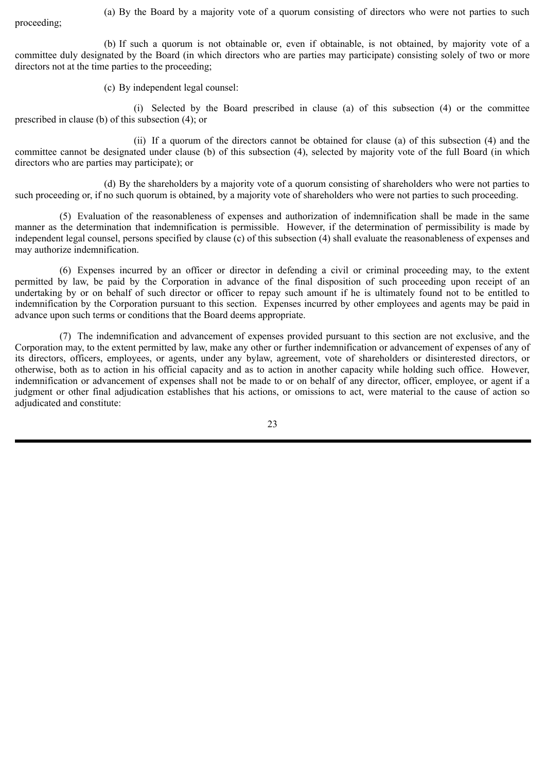proceeding;

(a) By the Board by a majority vote of a quorum consisting of directors who were not parties to such

(b) If such a quorum is not obtainable or, even if obtainable, is not obtained, by majority vote of a committee duly designated by the Board (in which directors who are parties may participate) consisting solely of two or more directors not at the time parties to the proceeding;

(c) By independent legal counsel:

(i) Selected by the Board prescribed in clause (a) of this subsection (4) or the committee prescribed in clause (b) of this subsection (4); or

(ii) If a quorum of the directors cannot be obtained for clause (a) of this subsection (4) and the committee cannot be designated under clause (b) of this subsection (4), selected by majority vote of the full Board (in which directors who are parties may participate); or

(d) By the shareholders by a majority vote of a quorum consisting of shareholders who were not parties to such proceeding or, if no such quorum is obtained, by a majority vote of shareholders who were not parties to such proceeding.

(5) Evaluation of the reasonableness of expenses and authorization of indemnification shall be made in the same manner as the determination that indemnification is permissible. However, if the determination of permissibility is made by independent legal counsel, persons specified by clause (c) of this subsection (4) shall evaluate the reasonableness of expenses and may authorize indemnification.

(6) Expenses incurred by an officer or director in defending a civil or criminal proceeding may, to the extent permitted by law, be paid by the Corporation in advance of the final disposition of such proceeding upon receipt of an undertaking by or on behalf of such director or officer to repay such amount if he is ultimately found not to be entitled to indemnification by the Corporation pursuant to this section. Expenses incurred by other employees and agents may be paid in advance upon such terms or conditions that the Board deems appropriate.

(7) The indemnification and advancement of expenses provided pursuant to this section are not exclusive, and the Corporation may, to the extent permitted by law, make any other or further indemnification or advancement of expenses of any of its directors, officers, employees, or agents, under any bylaw, agreement, vote of shareholders or disinterested directors, or otherwise, both as to action in his official capacity and as to action in another capacity while holding such office. However, indemnification or advancement of expenses shall not be made to or on behalf of any director, officer, employee, or agent if a judgment or other final adjudication establishes that his actions, or omissions to act, were material to the cause of action so adjudicated and constitute: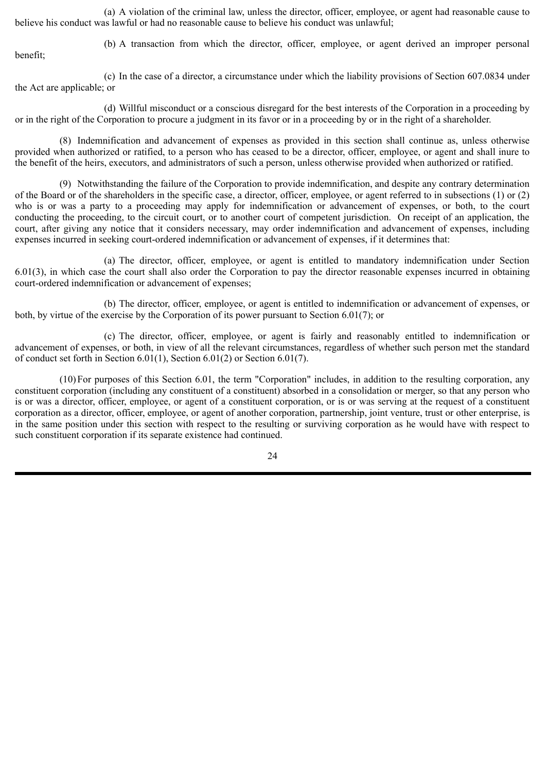(a) A violation of the criminal law, unless the director, officer, employee, or agent had reasonable cause to believe his conduct was lawful or had no reasonable cause to believe his conduct was unlawful;

benefit;

(b) A transaction from which the director, officer, employee, or agent derived an improper personal

(c) In the case of a director, a circumstance under which the liability provisions of Section 607.0834 under the Act are applicable; or

(d) Willful misconduct or a conscious disregard for the best interests of the Corporation in a proceeding by or in the right of the Corporation to procure a judgment in its favor or in a proceeding by or in the right of a shareholder.

(8) Indemnification and advancement of expenses as provided in this section shall continue as, unless otherwise provided when authorized or ratified, to a person who has ceased to be a director, officer, employee, or agent and shall inure to the benefit of the heirs, executors, and administrators of such a person, unless otherwise provided when authorized or ratified.

(9) Notwithstanding the failure of the Corporation to provide indemnification, and despite any contrary determination of the Board or of the shareholders in the specific case, a director, officer, employee, or agent referred to in subsections (1) or (2) who is or was a party to a proceeding may apply for indemnification or advancement of expenses, or both, to the court conducting the proceeding, to the circuit court, or to another court of competent jurisdiction. On receipt of an application, the court, after giving any notice that it considers necessary, may order indemnification and advancement of expenses, including expenses incurred in seeking court-ordered indemnification or advancement of expenses, if it determines that:

(a) The director, officer, employee, or agent is entitled to mandatory indemnification under Section 6.01(3), in which case the court shall also order the Corporation to pay the director reasonable expenses incurred in obtaining court-ordered indemnification or advancement of expenses;

(b) The director, officer, employee, or agent is entitled to indemnification or advancement of expenses, or both, by virtue of the exercise by the Corporation of its power pursuant to Section 6.01(7); or

(c) The director, officer, employee, or agent is fairly and reasonably entitled to indemnification or advancement of expenses, or both, in view of all the relevant circumstances, regardless of whether such person met the standard of conduct set forth in Section 6.01(1), Section 6.01(2) or Section 6.01(7).

(10)For purposes of this Section 6.01, the term "Corporation" includes, in addition to the resulting corporation, any constituent corporation (including any constituent of a constituent) absorbed in a consolidation or merger, so that any person who is or was a director, officer, employee, or agent of a constituent corporation, or is or was serving at the request of a constituent corporation as a director, officer, employee, or agent of another corporation, partnership, joint venture, trust or other enterprise, is in the same position under this section with respect to the resulting or surviving corporation as he would have with respect to such constituent corporation if its separate existence had continued.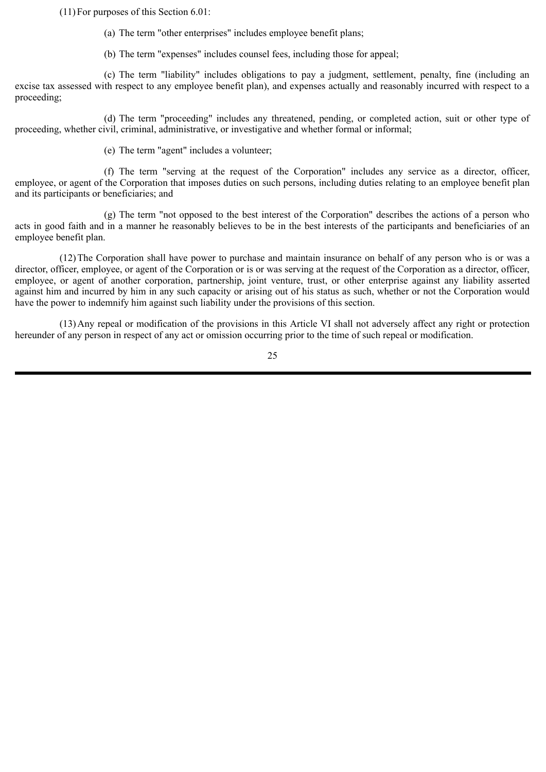(11)For purposes of this Section 6.01:

(a) The term "other enterprises" includes employee benefit plans;

(b) The term "expenses" includes counsel fees, including those for appeal;

(c) The term "liability" includes obligations to pay a judgment, settlement, penalty, fine (including an excise tax assessed with respect to any employee benefit plan), and expenses actually and reasonably incurred with respect to a proceeding;

(d) The term "proceeding" includes any threatened, pending, or completed action, suit or other type of proceeding, whether civil, criminal, administrative, or investigative and whether formal or informal;

(e) The term "agent" includes a volunteer;

(f) The term "serving at the request of the Corporation" includes any service as a director, officer, employee, or agent of the Corporation that imposes duties on such persons, including duties relating to an employee benefit plan and its participants or beneficiaries; and

(g) The term "not opposed to the best interest of the Corporation" describes the actions of a person who acts in good faith and in a manner he reasonably believes to be in the best interests of the participants and beneficiaries of an employee benefit plan.

(12)The Corporation shall have power to purchase and maintain insurance on behalf of any person who is or was a director, officer, employee, or agent of the Corporation or is or was serving at the request of the Corporation as a director, officer, employee, or agent of another corporation, partnership, joint venture, trust, or other enterprise against any liability asserted against him and incurred by him in any such capacity or arising out of his status as such, whether or not the Corporation would have the power to indemnify him against such liability under the provisions of this section.

(13)Any repeal or modification of the provisions in this Article VI shall not adversely affect any right or protection hereunder of any person in respect of any act or omission occurring prior to the time of such repeal or modification.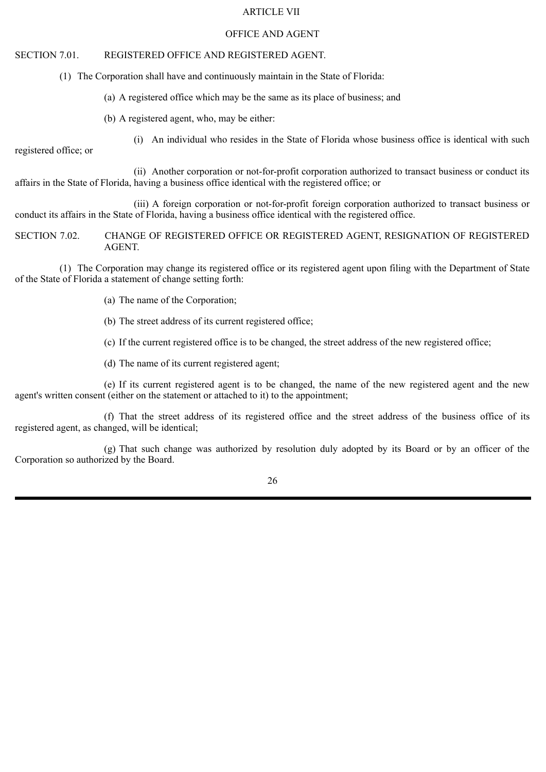#### ARTICLE VII

#### OFFICE AND AGENT

#### <span id="page-33-0"></span>SECTION 7.01. REGISTERED OFFICE AND REGISTERED AGENT.

(1) The Corporation shall have and continuously maintain in the State of Florida:

(a) A registered office which may be the same as its place of business; and

(b) A registered agent, who, may be either:

(i) An individual who resides in the State of Florida whose business office is identical with such

registered office; or

(ii) Another corporation or not-for-profit corporation authorized to transact business or conduct its affairs in the State of Florida, having a business office identical with the registered office; or

(iii) A foreign corporation or not-for-profit foreign corporation authorized to transact business or conduct its affairs in the State of Florida, having a business office identical with the registered office.

SECTION 7.02. CHANGE OF REGISTERED OFFICE OR REGISTERED AGENT, RESIGNATION OF REGISTERED AGENT.

(1) The Corporation may change its registered office or its registered agent upon filing with the Department of State of the State of Florida a statement of change setting forth:

- (a) The name of the Corporation;
- (b) The street address of its current registered office;
- (c) If the current registered office is to be changed, the street address of the new registered office;
- (d) The name of its current registered agent;

(e) If its current registered agent is to be changed, the name of the new registered agent and the new agent's written consent (either on the statement or attached to it) to the appointment;

(f) That the street address of its registered office and the street address of the business office of its registered agent, as changed, will be identical;

(g) That such change was authorized by resolution duly adopted by its Board or by an officer of the Corporation so authorized by the Board.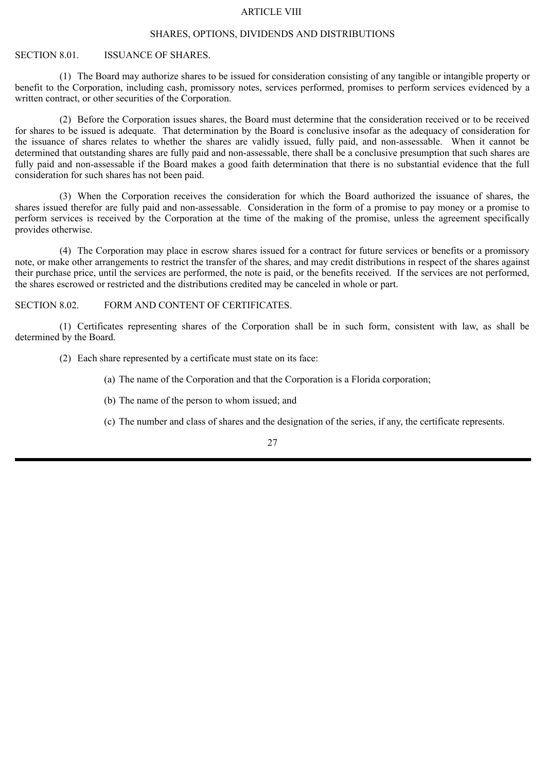#### ARTICLE VIII

#### SHARES, OPTIONS, DIVIDENDS AND DISTRIBUTIONS

#### <span id="page-34-0"></span>SECTION 8.01. ISSUANCE OF SHARES.

(1) The Board may authorize shares to be issued for consideration consisting of any tangible or intangible property or benefit to the Corporation, including cash, promissory notes, services performed, promises to perform services evidenced by a written contract, or other securities of the Corporation.

(2) Before the Corporation issues shares, the Board must determine that the consideration received or to be received for shares to be issued is adequate. That determination by the Board is conclusive insofar as the adequacy of consideration for the issuance of shares relates to whether the shares are validly issued, fully paid, and non-assessable. When it cannot be determined that outstanding shares are fully paid and non-assessable, there shall be a conclusive presumption that such shares are fully paid and non-assessable if the Board makes a good faith determination that there is no substantial evidence that the full consideration for such shares has not been paid.

(3) When the Corporation receives the consideration for which the Board authorized the issuance of shares, the shares issued therefor are fully paid and non-assessable. Consideration in the form of a promise to pay money or a promise to perform services is received by the Corporation at the time of the making of the promise, unless the agreement specifically provides otherwise.

(4) The Corporation may place in escrow shares issued for a contract for future services or benefits or a promissory note, or make other arrangements to restrict the transfer of the shares, and may credit distributions in respect of the shares against their purchase price, until the services are performed, the note is paid, or the benefits received. If the services are not performed, the shares escrowed or restricted and the distributions credited may be canceled in whole or part.

SECTION 8.02. FORM AND CONTENT OF CERTIFICATES.

(1) Certificates representing shares of the Corporation shall be in such form, consistent with law, as shall be determined by the Board.

- (2) Each share represented by a certificate must state on its face:
	- (a) The name of the Corporation and that the Corporation is a Florida corporation;
	- (b) The name of the person to whom issued; and
	- (c) The number and class of shares and the designation of the series, if any, the certificate represents.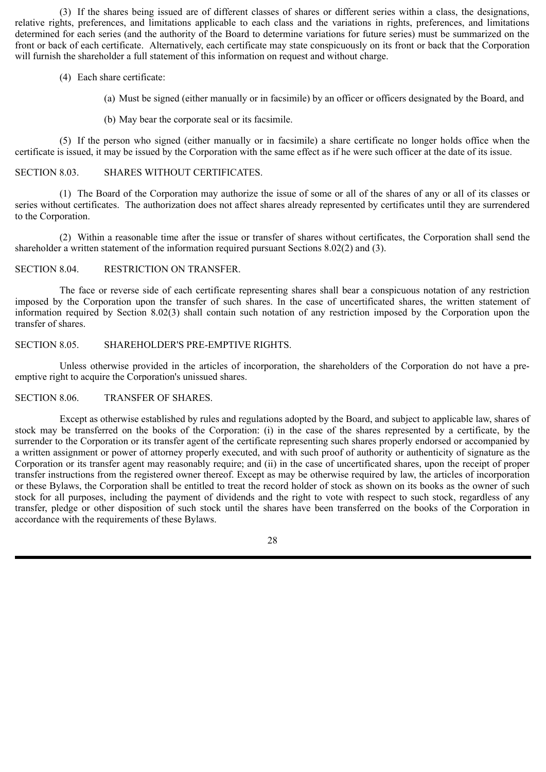<span id="page-35-0"></span>(3) If the shares being issued are of different classes of shares or different series within a class, the designations, relative rights, preferences, and limitations applicable to each class and the variations in rights, preferences, and limitations determined for each series (and the authority of the Board to determine variations for future series) must be summarized on the front or back of each certificate. Alternatively, each certificate may state conspicuously on its front or back that the Corporation will furnish the shareholder a full statement of this information on request and without charge.

(4) Each share certificate:

(a) Must be signed (either manually or in facsimile) by an officer or officers designated by the Board, and

(b) May bear the corporate seal or its facsimile.

(5) If the person who signed (either manually or in facsimile) a share certificate no longer holds office when the certificate is issued, it may be issued by the Corporation with the same effect as if he were such officer at the date of its issue.

#### SECTION 8.03. SHARES WITHOUT CERTIFICATES.

(1) The Board of the Corporation may authorize the issue of some or all of the shares of any or all of its classes or series without certificates. The authorization does not affect shares already represented by certificates until they are surrendered to the Corporation.

(2) Within a reasonable time after the issue or transfer of shares without certificates, the Corporation shall send the shareholder a written statement of the information required pursuant Sections 8.02(2) and (3).

### SECTION 8.04. RESTRICTION ON TRANSFER.

The face or reverse side of each certificate representing shares shall bear a conspicuous notation of any restriction imposed by the Corporation upon the transfer of such shares. In the case of uncertificated shares, the written statement of information required by Section 8.02(3) shall contain such notation of any restriction imposed by the Corporation upon the transfer of shares.

#### SECTION 8.05. SHAREHOLDER'S PRE-EMPTIVE RIGHTS.

Unless otherwise provided in the articles of incorporation, the shareholders of the Corporation do not have a preemptive right to acquire the Corporation's unissued shares.

SECTION 8.06. TRANSFER OF SHARES.

Except as otherwise established by rules and regulations adopted by the Board, and subject to applicable law, shares of stock may be transferred on the books of the Corporation: (i) in the case of the shares represented by a certificate, by the surrender to the Corporation or its transfer agent of the certificate representing such shares properly endorsed or accompanied by a written assignment or power of attorney properly executed, and with such proof of authority or authenticity of signature as the Corporation or its transfer agent may reasonably require; and (ii) in the case of uncertificated shares, upon the receipt of proper transfer instructions from the registered owner thereof. Except as may be otherwise required by law, the articles of incorporation or these Bylaws, the Corporation shall be entitled to treat the record holder of stock as shown on its books as the owner of such stock for all purposes, including the payment of dividends and the right to vote with respect to such stock, regardless of any transfer, pledge or other disposition of such stock until the shares have been transferred on the books of the Corporation in accordance with the requirements of these Bylaws.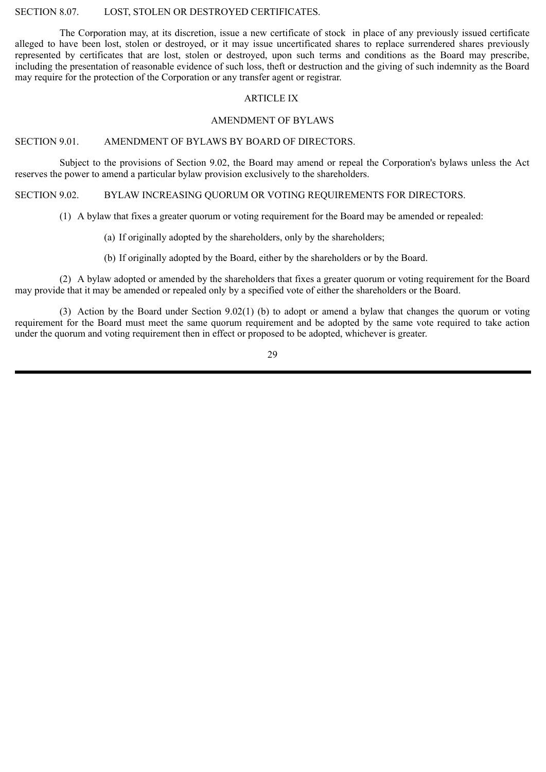#### <span id="page-36-0"></span>SECTION 8.07. LOST, STOLEN OR DESTROYED CERTIFICATES.

The Corporation may, at its discretion, issue a new certificate of stock in place of any previously issued certificate alleged to have been lost, stolen or destroyed, or it may issue uncertificated shares to replace surrendered shares previously represented by certificates that are lost, stolen or destroyed, upon such terms and conditions as the Board may prescribe, including the presentation of reasonable evidence of such loss, theft or destruction and the giving of such indemnity as the Board may require for the protection of the Corporation or any transfer agent or registrar.

#### ARTICLE IX

#### AMENDMENT OF BYLAWS

#### SECTION 9.01. AMENDMENT OF BYLAWS BY BOARD OF DIRECTORS.

Subject to the provisions of Section 9.02, the Board may amend or repeal the Corporation's bylaws unless the Act reserves the power to amend a particular bylaw provision exclusively to the shareholders.

#### SECTION 9.02. BYLAW INCREASING QUORUM OR VOTING REQUIREMENTS FOR DIRECTORS.

(1) A bylaw that fixes a greater quorum or voting requirement for the Board may be amended or repealed:

(a) If originally adopted by the shareholders, only by the shareholders;

(b) If originally adopted by the Board, either by the shareholders or by the Board.

(2) A bylaw adopted or amended by the shareholders that fixes a greater quorum or voting requirement for the Board may provide that it may be amended or repealed only by a specified vote of either the shareholders or the Board.

(3) Action by the Board under Section 9.02(1) (b) to adopt or amend a bylaw that changes the quorum or voting requirement for the Board must meet the same quorum requirement and be adopted by the same vote required to take action under the quorum and voting requirement then in effect or proposed to be adopted, whichever is greater.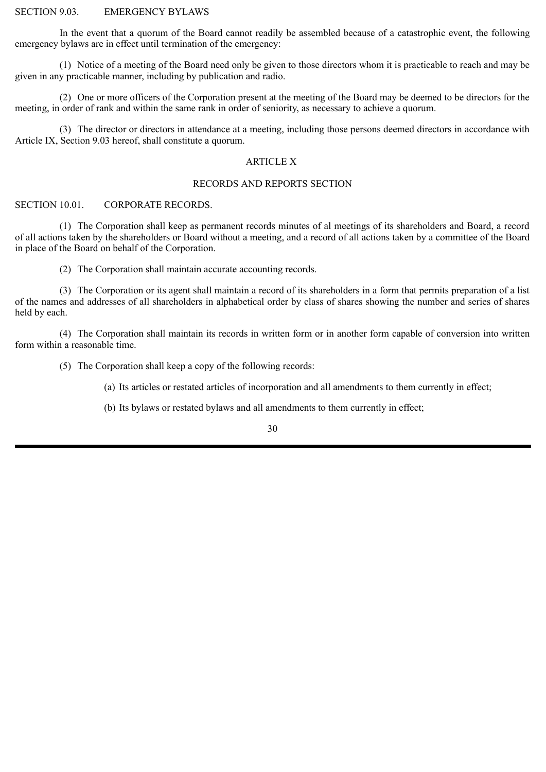#### <span id="page-37-0"></span>SECTION 9.03. EMERGENCY BYLAWS

In the event that a quorum of the Board cannot readily be assembled because of a catastrophic event, the following emergency bylaws are in effect until termination of the emergency:

(1) Notice of a meeting of the Board need only be given to those directors whom it is practicable to reach and may be given in any practicable manner, including by publication and radio.

(2) One or more officers of the Corporation present at the meeting of the Board may be deemed to be directors for the meeting, in order of rank and within the same rank in order of seniority, as necessary to achieve a quorum.

(3) The director or directors in attendance at a meeting, including those persons deemed directors in accordance with Article IX, Section 9.03 hereof, shall constitute a quorum.

#### ARTICLE X

#### RECORDS AND REPORTS SECTION

#### SECTION 10.01. CORPORATE RECORDS.

(1) The Corporation shall keep as permanent records minutes of al meetings of its shareholders and Board, a record of all actions taken by the shareholders or Board without a meeting, and a record of all actions taken by a committee of the Board in place of the Board on behalf of the Corporation.

(2) The Corporation shall maintain accurate accounting records.

(3) The Corporation or its agent shall maintain a record of its shareholders in a form that permits preparation of a list of the names and addresses of all shareholders in alphabetical order by class of shares showing the number and series of shares held by each.

(4) The Corporation shall maintain its records in written form or in another form capable of conversion into written form within a reasonable time.

(5) The Corporation shall keep a copy of the following records:

(a) Its articles or restated articles of incorporation and all amendments to them currently in effect;

(b) Its bylaws or restated bylaws and all amendments to them currently in effect;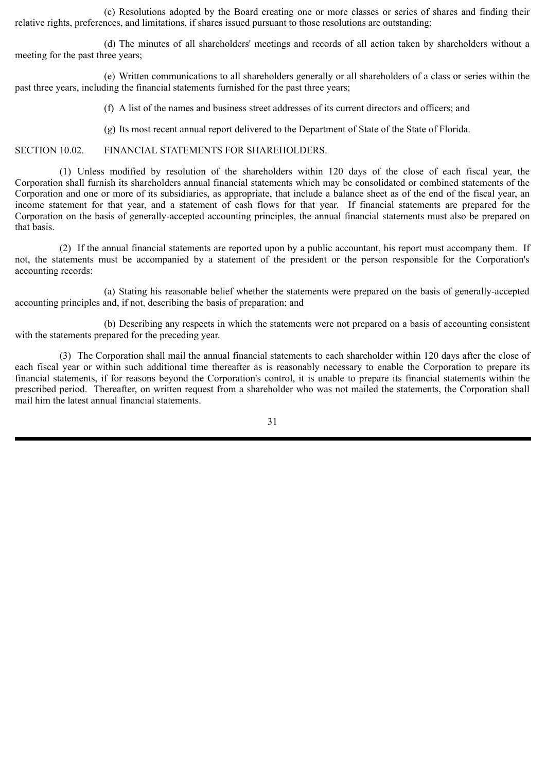<span id="page-38-0"></span>(c) Resolutions adopted by the Board creating one or more classes or series of shares and finding their relative rights, preferences, and limitations, if shares issued pursuant to those resolutions are outstanding;

(d) The minutes of all shareholders' meetings and records of all action taken by shareholders without a meeting for the past three years;

(e) Written communications to all shareholders generally or all shareholders of a class or series within the past three years, including the financial statements furnished for the past three years;

(f) A list of the names and business street addresses of its current directors and officers; and

(g) Its most recent annual report delivered to the Department of State of the State of Florida.

#### SECTION 10.02. FINANCIAL STATEMENTS FOR SHAREHOLDERS.

(1) Unless modified by resolution of the shareholders within 120 days of the close of each fiscal year, the Corporation shall furnish its shareholders annual financial statements which may be consolidated or combined statements of the Corporation and one or more of its subsidiaries, as appropriate, that include a balance sheet as of the end of the fiscal year, an income statement for that year, and a statement of cash flows for that year. If financial statements are prepared for the Corporation on the basis of generally-accepted accounting principles, the annual financial statements must also be prepared on that basis.

(2) If the annual financial statements are reported upon by a public accountant, his report must accompany them. If not, the statements must be accompanied by a statement of the president or the person responsible for the Corporation's accounting records:

(a) Stating his reasonable belief whether the statements were prepared on the basis of generally-accepted accounting principles and, if not, describing the basis of preparation; and

(b) Describing any respects in which the statements were not prepared on a basis of accounting consistent with the statements prepared for the preceding year.

(3) The Corporation shall mail the annual financial statements to each shareholder within 120 days after the close of each fiscal year or within such additional time thereafter as is reasonably necessary to enable the Corporation to prepare its financial statements, if for reasons beyond the Corporation's control, it is unable to prepare its financial statements within the prescribed period. Thereafter, on written request from a shareholder who was not mailed the statements, the Corporation shall mail him the latest annual financial statements.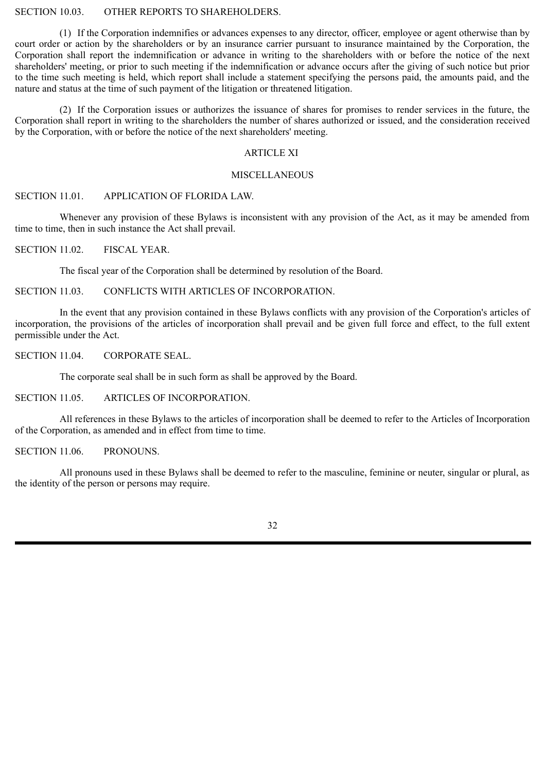#### <span id="page-39-0"></span>SECTION 10.03. OTHER REPORTS TO SHAREHOLDERS.

(1) If the Corporation indemnifies or advances expenses to any director, officer, employee or agent otherwise than by court order or action by the shareholders or by an insurance carrier pursuant to insurance maintained by the Corporation, the Corporation shall report the indemnification or advance in writing to the shareholders with or before the notice of the next shareholders' meeting, or prior to such meeting if the indemnification or advance occurs after the giving of such notice but prior to the time such meeting is held, which report shall include a statement specifying the persons paid, the amounts paid, and the nature and status at the time of such payment of the litigation or threatened litigation.

(2) If the Corporation issues or authorizes the issuance of shares for promises to render services in the future, the Corporation shall report in writing to the shareholders the number of shares authorized or issued, and the consideration received by the Corporation, with or before the notice of the next shareholders' meeting.

#### ARTICLE XI

#### MISCELLANEOUS

SECTION 11.01. APPLICATION OF FLORIDA LAW.

Whenever any provision of these Bylaws is inconsistent with any provision of the Act, as it may be amended from time to time, then in such instance the Act shall prevail.

SECTION 11.02. FISCAL YEAR.

The fiscal year of the Corporation shall be determined by resolution of the Board.

SECTION 11.03. CONFLICTS WITH ARTICLES OF INCORPORATION.

In the event that any provision contained in these Bylaws conflicts with any provision of the Corporation's articles of incorporation, the provisions of the articles of incorporation shall prevail and be given full force and effect, to the full extent permissible under the Act.

SECTION 11.04. CORPORATE SEAL.

The corporate seal shall be in such form as shall be approved by the Board.

SECTION 11.05. ARTICLES OF INCORPORATION.

All references in these Bylaws to the articles of incorporation shall be deemed to refer to the Articles of Incorporation of the Corporation, as amended and in effect from time to time.

SECTION 11.06. PRONOUNS.

All pronouns used in these Bylaws shall be deemed to refer to the masculine, feminine or neuter, singular or plural, as the identity of the person or persons may require.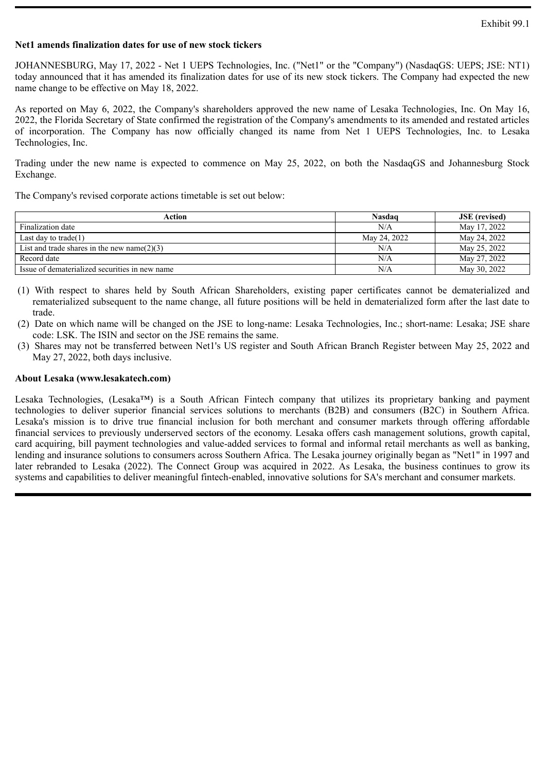#### <span id="page-40-0"></span>**Net1 amends finalization dates for use of new stock tickers**

JOHANNESBURG, May 17, 2022 - Net 1 UEPS Technologies, Inc. ("Net1" or the "Company") (NasdaqGS: UEPS; JSE: NT1) today announced that it has amended its finalization dates for use of its new stock tickers. The Company had expected the new name change to be effective on May 18, 2022.

As reported on May 6, 2022, the Company's shareholders approved the new name of Lesaka Technologies, Inc. On May 16, 2022, the Florida Secretary of State confirmed the registration of the Company's amendments to its amended and restated articles of incorporation. The Company has now officially changed its name from Net 1 UEPS Technologies, Inc. to Lesaka Technologies, Inc.

Trading under the new name is expected to commence on May 25, 2022, on both the NasdaqGS and Johannesburg Stock Exchange.

The Company's revised corporate actions timetable is set out below:

| Action                                         | Nasdaq       | <b>JSE</b> (revised) |
|------------------------------------------------|--------------|----------------------|
| Finalization date                              | N/A          | May 17, 2022         |
| Last day to trade $(1)$                        | May 24, 2022 | May 24, 2022         |
| List and trade shares in the new name $(2)(3)$ | N/A          | May 25, 2022         |
| Record date                                    | N/A          | May 27, 2022         |
| Issue of dematerialized securities in new name | N/A          | May 30, 2022         |

- (1) With respect to shares held by South African Shareholders, existing paper certificates cannot be dematerialized and rematerialized subsequent to the name change, all future positions will be held in dematerialized form after the last date to trade.
- (2) Date on which name will be changed on the JSE to long-name: Lesaka Technologies, Inc.; short-name: Lesaka; JSE share code: LSK. The ISIN and sector on the JSE remains the same.
- (3) Shares may not be transferred between Net1's US register and South African Branch Register between May 25, 2022 and May 27, 2022, both days inclusive.

#### **About Lesaka (www.lesakatech.com)**

Lesaka Technologies, (Lesaka™) is a South African Fintech company that utilizes its proprietary banking and payment technologies to deliver superior financial services solutions to merchants (B2B) and consumers (B2C) in Southern Africa. Lesaka's mission is to drive true financial inclusion for both merchant and consumer markets through offering affordable financial services to previously underserved sectors of the economy. Lesaka offers cash management solutions, growth capital, card acquiring, bill payment technologies and value-added services to formal and informal retail merchants as well as banking, lending and insurance solutions to consumers across Southern Africa. The Lesaka journey originally began as "Net1" in 1997 and later rebranded to Lesaka (2022). The Connect Group was acquired in 2022. As Lesaka, the business continues to grow its systems and capabilities to deliver meaningful fintech-enabled, innovative solutions for SA's merchant and consumer markets.